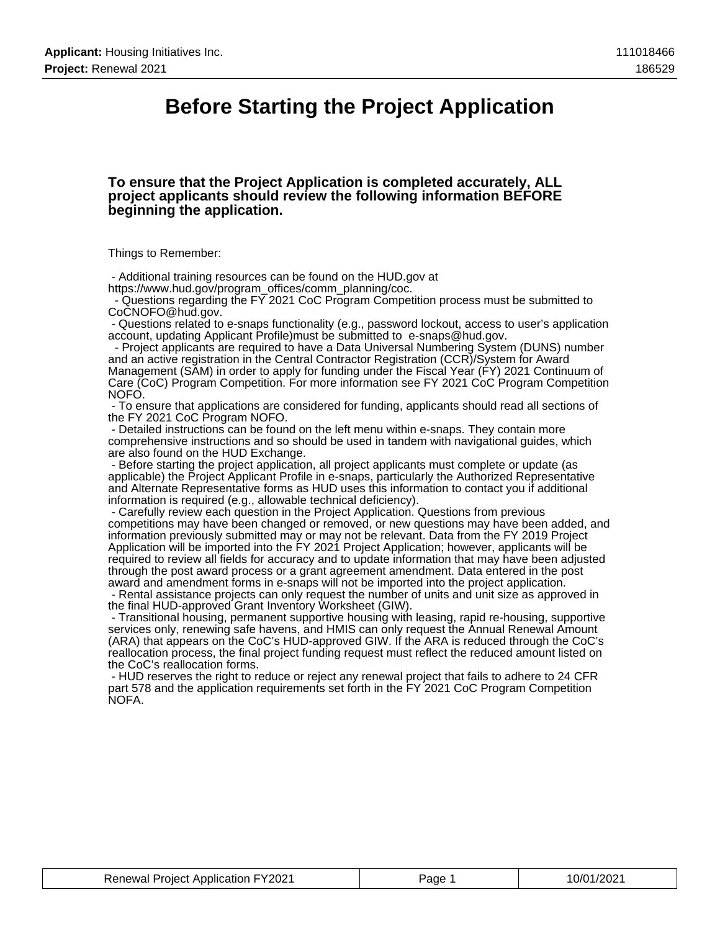### **Before Starting the Project Application**

#### **To ensure that the Project Application is completed accurately, ALL project applicants should review the following information BEFORE beginning the application.**

Things to Remember:

 - Additional training resources can be found on the HUD.gov at https://www.hud.gov/program\_offices/comm\_planning/coc.

 - Questions regarding the FY 2021 CoC Program Competition process must be submitted to CoCNOFO@hud.gov.

 - Questions related to e-snaps functionality (e.g., password lockout, access to user's application account, updating Applicant Profile)must be submitted to e-snaps@hud.gov.

 - Project applicants are required to have a Data Universal Numbering System (DUNS) number and an active registration in the Central Contractor Registration (CCR)/System for Award Management (SAM) in order to apply for funding under the Fiscal Year (FY) 2021 Continuum of Care (CoC) Program Competition. For more information see FY 2021 CoC Program Competition NOFO.

 - To ensure that applications are considered for funding, applicants should read all sections of the FY 2021 CoC Program NOFO.

 - Detailed instructions can be found on the left menu within e-snaps. They contain more comprehensive instructions and so should be used in tandem with navigational guides, which are also found on the HUD Exchange.

 - Before starting the project application, all project applicants must complete or update (as applicable) the Project Applicant Profile in e-snaps, particularly the Authorized Representative and Alternate Representative forms as HUD uses this information to contact you if additional information is required (e.g., allowable technical deficiency).

 - Carefully review each question in the Project Application. Questions from previous competitions may have been changed or removed, or new questions may have been added, and information previously submitted may or may not be relevant. Data from the FY 2019 Project Application will be imported into the FY 2021 Project Application; however, applicants will be required to review all fields for accuracy and to update information that may have been adjusted through the post award process or a grant agreement amendment. Data entered in the post award and amendment forms in e-snaps will not be imported into the project application.

 - Rental assistance projects can only request the number of units and unit size as approved in the final HUD-approved Grant Inventory Worksheet (GIW).

 - Transitional housing, permanent supportive housing with leasing, rapid re-housing, supportive services only, renewing safe havens, and HMIS can only request the Annual Renewal Amount (ARA) that appears on the CoC's HUD-approved GIW. If the ARA is reduced through the CoC's reallocation process, the final project funding request must reflect the reduced amount listed on the CoC's reallocation forms.

 - HUD reserves the right to reduce or reject any renewal project that fails to adhere to 24 CFR part 578 and the application requirements set forth in the FY 2021 CoC Program Competition NOFA.

| <b>Renewal Project Application FY2021</b> | Page | 10/01/2021 |
|-------------------------------------------|------|------------|
|-------------------------------------------|------|------------|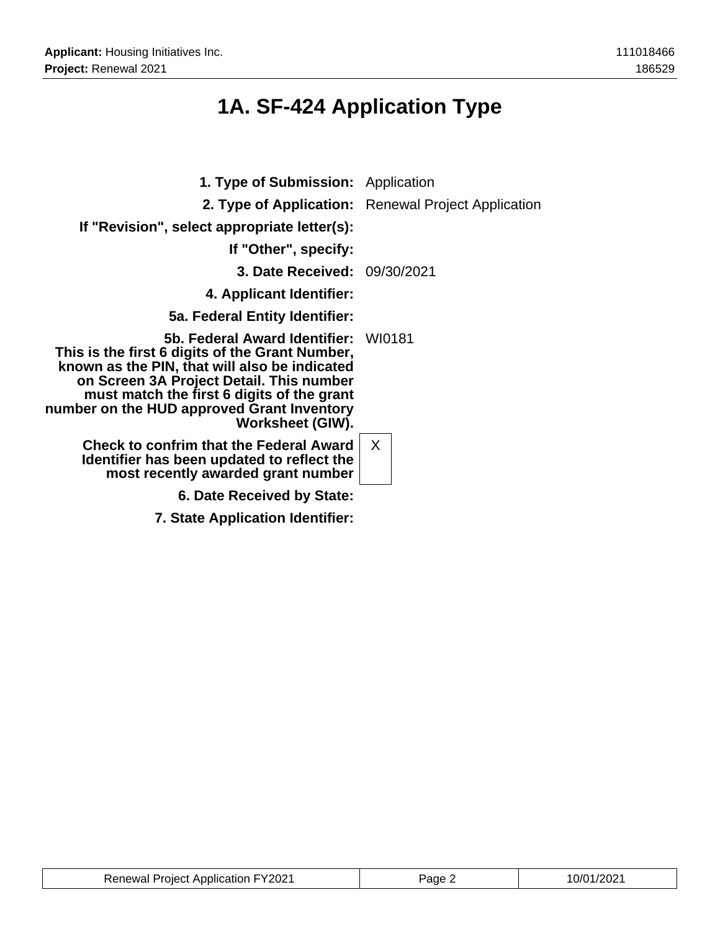# **1A. SF-424 Application Type**

| <b>1. Type of Submission:</b> Application                                                                                                                                                                                                                                                     |                                                     |
|-----------------------------------------------------------------------------------------------------------------------------------------------------------------------------------------------------------------------------------------------------------------------------------------------|-----------------------------------------------------|
|                                                                                                                                                                                                                                                                                               | 2. Type of Application: Renewal Project Application |
| If "Revision", select appropriate letter(s):                                                                                                                                                                                                                                                  |                                                     |
| If "Other", specify:                                                                                                                                                                                                                                                                          |                                                     |
| <b>3. Date Received: 09/30/2021</b>                                                                                                                                                                                                                                                           |                                                     |
| 4. Applicant Identifier:                                                                                                                                                                                                                                                                      |                                                     |
| 5a. Federal Entity Identifier:                                                                                                                                                                                                                                                                |                                                     |
| 5b. Federal Award Identifier:<br>This is the first 6 digits of the Grant Number,<br>known as the PIN, that will also be indicated<br>on Screen 3A Project Detail. This number<br>must match the first 6 digits of the grant<br>number on the HUD approved Grant Inventory<br>Worksheet (GIW). | WI0181                                              |
| <b>Check to confrim that the Federal Award</b><br>Identifier has been updated to reflect the<br>most recently awarded grant number                                                                                                                                                            | $\mathsf{X}$                                        |
| 6. Date Received by State:                                                                                                                                                                                                                                                                    |                                                     |
| 7. State Application Identifier:                                                                                                                                                                                                                                                              |                                                     |

| <b>Renewal Project Application FY2021</b> | Page 2 | 10/01/2021 |
|-------------------------------------------|--------|------------|
|-------------------------------------------|--------|------------|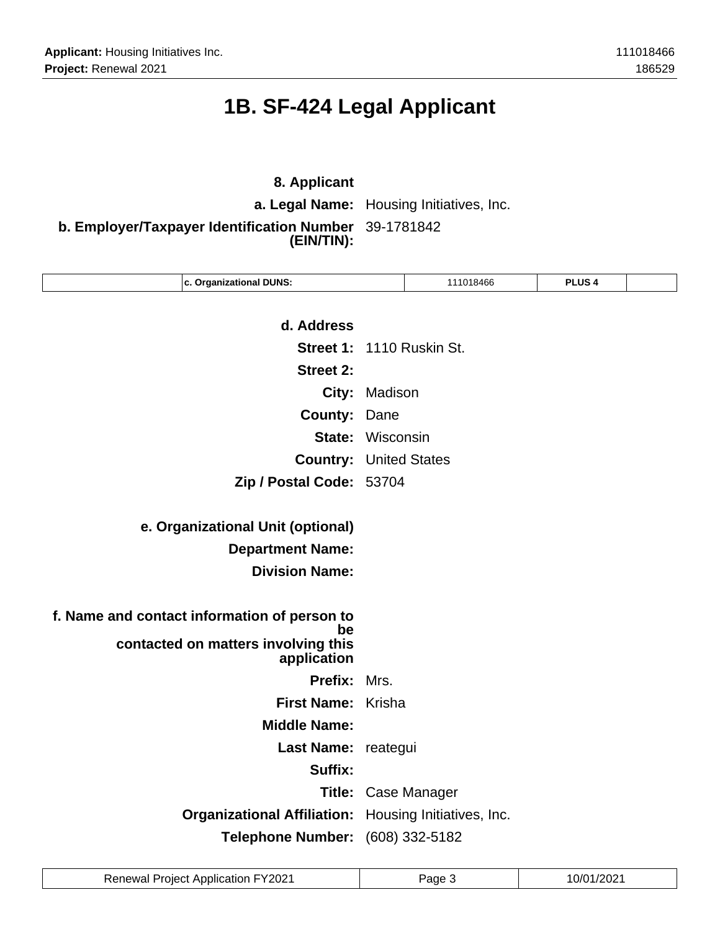## **1B. SF-424 Legal Applicant**

### **8. Applicant**

**a. Legal Name:** Housing Initiatives, Inc.

**b. Employer/Taxpayer Identification Number** 39-1781842 **(EIN/TIN):**

| c. Organizational DUNS:                                      |                         | 111018466       | <b>PLUS4</b> |  |
|--------------------------------------------------------------|-------------------------|-----------------|--------------|--|
|                                                              |                         |                 |              |  |
| d. Address                                                   |                         |                 |              |  |
| Street 1:                                                    |                         | 1110 Ruskin St. |              |  |
| <b>Street 2:</b>                                             |                         |                 |              |  |
| City:                                                        | Madison                 |                 |              |  |
| <b>County:</b>                                               | Dane                    |                 |              |  |
|                                                              | <b>State: Wisconsin</b> |                 |              |  |
| <b>Country: United States</b>                                |                         |                 |              |  |
| Zip / Postal Code: 53704                                     |                         |                 |              |  |
|                                                              |                         |                 |              |  |
| e. Organizational Unit (optional)                            |                         |                 |              |  |
| <b>Department Name:</b>                                      |                         |                 |              |  |
| <b>Division Name:</b>                                        |                         |                 |              |  |
|                                                              |                         |                 |              |  |
| f. Name and contact information of person to<br>be           |                         |                 |              |  |
| contacted on matters involving this<br>application           |                         |                 |              |  |
| Prefix:                                                      | Mrs.                    |                 |              |  |
| First Name: Krisha                                           |                         |                 |              |  |
| <b>Middle Name:</b>                                          |                         |                 |              |  |
|                                                              |                         |                 |              |  |
| <b>Last Name:</b><br>Suffix:                                 | reategui                |                 |              |  |
|                                                              |                         |                 |              |  |
| Title:                                                       |                         | Case Manager    |              |  |
| <b>Organizational Affiliation:</b> Housing Initiatives, Inc. |                         |                 |              |  |
| Telephone Number: (608) 332-5182                             |                         |                 |              |  |

| <b>Renewal Project Application FY2021</b> | Page 3 | 10/01/2021 |
|-------------------------------------------|--------|------------|
|-------------------------------------------|--------|------------|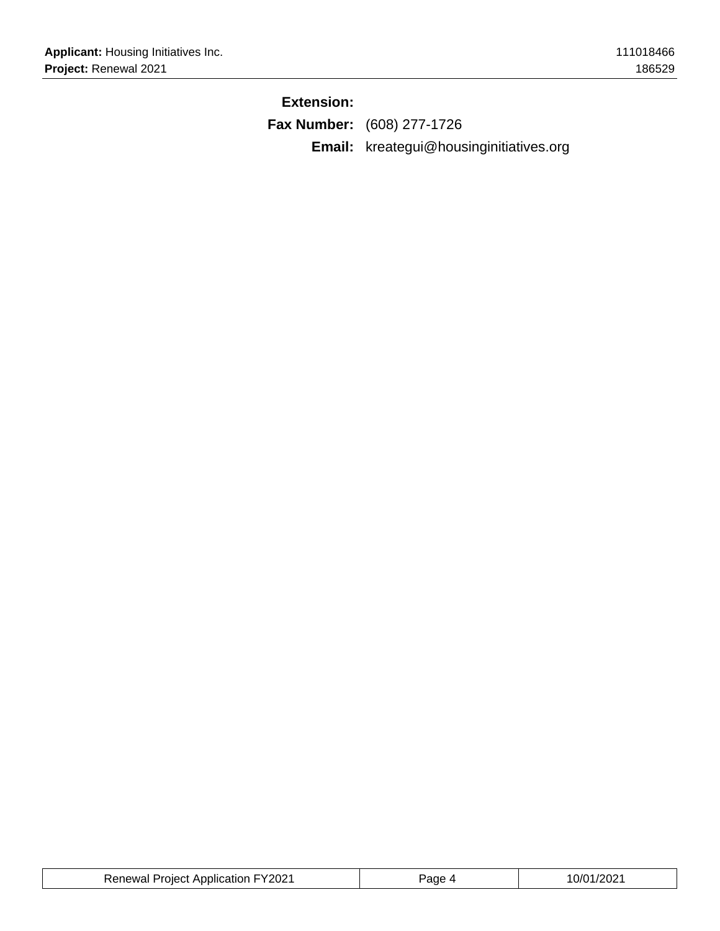### **Extension:**

**Fax Number:** (608) 277-1726 **Email:** kreategui@housinginitiatives.org

| <b>Renewal Project Application FY2021</b> | <sup>o</sup> aqe 4 | 10/01/2021 |
|-------------------------------------------|--------------------|------------|
|-------------------------------------------|--------------------|------------|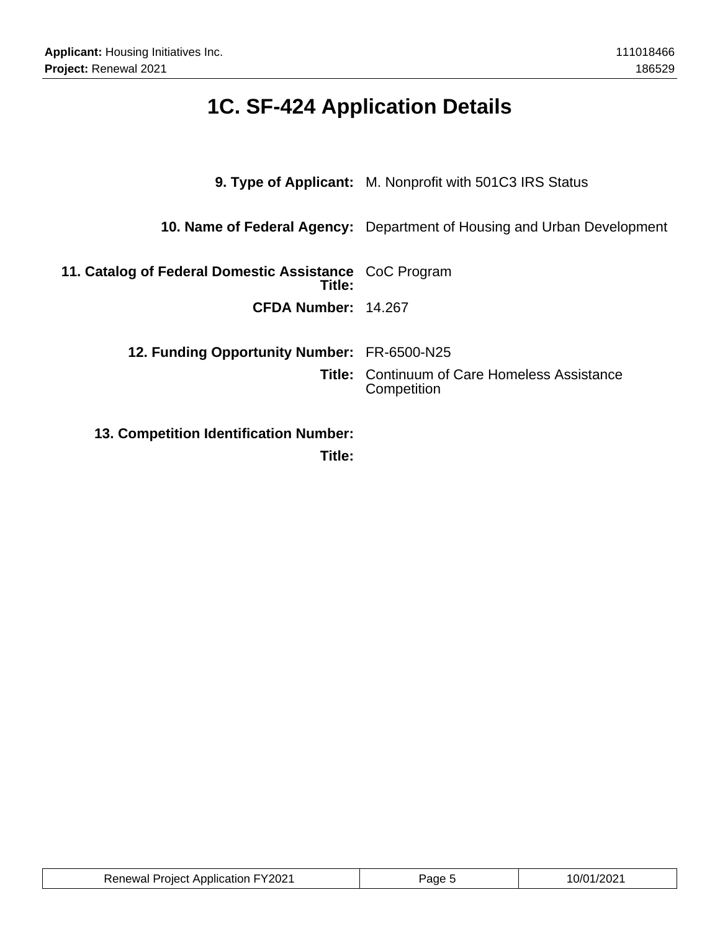# **1C. SF-424 Application Details**

|                                                                  | 9. Type of Applicant: M. Nonprofit with 501C3 IRS Status                |
|------------------------------------------------------------------|-------------------------------------------------------------------------|
|                                                                  | 10. Name of Federal Agency: Department of Housing and Urban Development |
| 11. Catalog of Federal Domestic Assistance CoC Program<br>Title: |                                                                         |
| CFDA Number: 14.267                                              |                                                                         |
| <b>12. Funding Opportunity Number: FR-6500-N25</b>               |                                                                         |
|                                                                  | <b>Title: Continuum of Care Homeless Assistance</b><br>Competition      |
| 13. Competition Identification Number:                           |                                                                         |

**Title:**

| <b>Renewal Project Application FY2021</b> | 'ane' |  |
|-------------------------------------------|-------|--|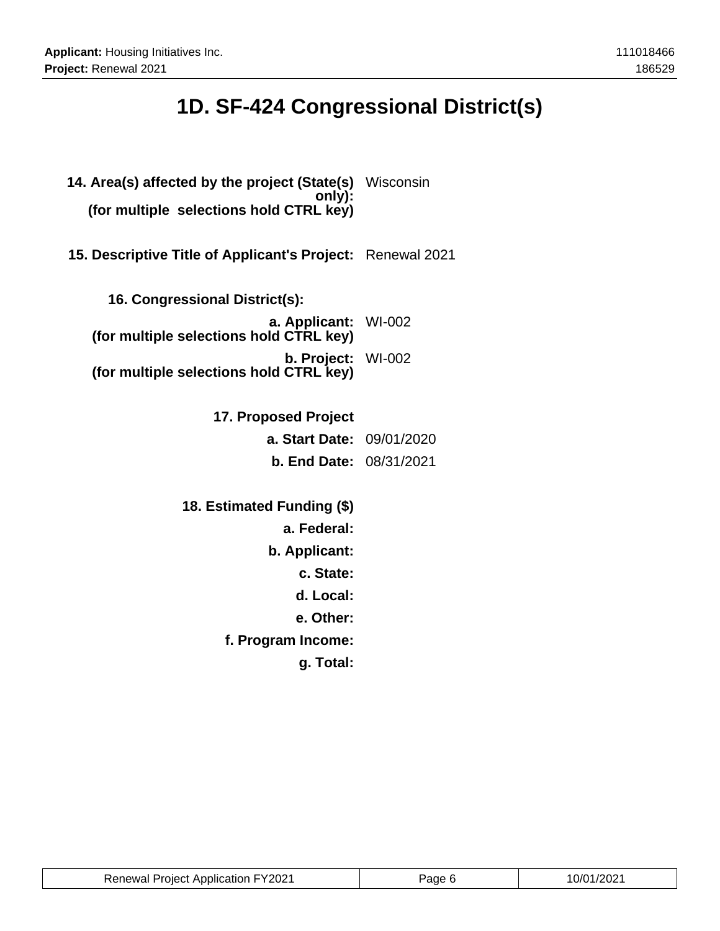# **1D. SF-424 Congressional District(s)**

| 14. Area(s) affected by the project (State(s)<br>only):<br>(for multiple selections hold CTRL key) | Wisconsin |
|----------------------------------------------------------------------------------------------------|-----------|
| 15. Descriptive Title of Applicant's Project: Renewal 2021                                         |           |
| 16. Congressional District(s):                                                                     |           |
| a. Applicant: WI-002<br>(for multiple selections hold CTRL key)                                    |           |
| b. Project: WI-002<br>(for multiple selections hold CTRL key)                                      |           |
| 17. Proposed Project                                                                               |           |
| a. Start Date: 09/01/2020                                                                          |           |
| <b>b. End Date: 08/31/2021</b>                                                                     |           |
| 18. Estimated Funding (\$)                                                                         |           |
| a. Federal:                                                                                        |           |
| b. Applicant:                                                                                      |           |
| c. State:                                                                                          |           |
| d. Local:                                                                                          |           |
| e. Other:                                                                                          |           |
| f. Program Income:                                                                                 |           |
| g. Total:                                                                                          |           |

| <b>Renewal Project Application FY2021</b> | Page P | 10/01/2021 |
|-------------------------------------------|--------|------------|
|-------------------------------------------|--------|------------|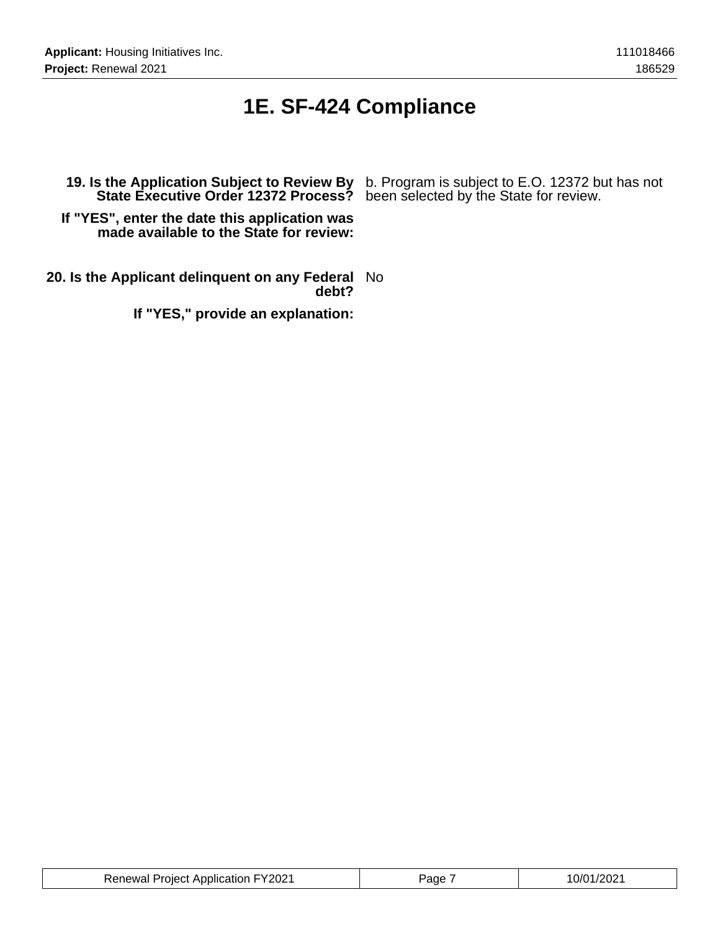### **1E. SF-424 Compliance**

**State Executive Order 12372 Process?** been selected by the State for review.

**19. Is the Application Subject to Review By** b. Program is subject to E.O. 12372 but has not

**If "YES", enter the date this application was made available to the State for review:**

**20. Is the Applicant delinquent on any Federal** No **debt?**

**If "YES," provide an explanation:**

| <b>Renewal Project Application FY2021</b> | Page | 10/01/2021 |
|-------------------------------------------|------|------------|
|-------------------------------------------|------|------------|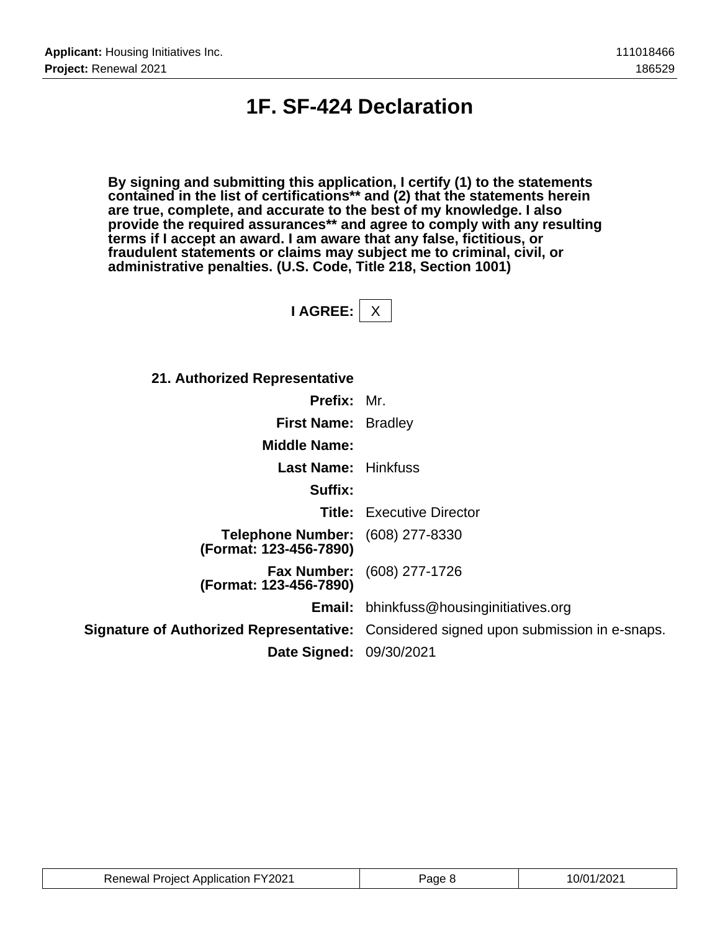### **1F. SF-424 Declaration**

**By signing and submitting this application, I certify (1) to the statements contained in the list of certifications\*\* and (2) that the statements herein are true, complete, and accurate to the best of my knowledge. I also provide the required assurances\*\* and agree to comply with any resulting terms if I accept an award. I am aware that any false, fictitious, or fraudulent statements or claims may subject me to criminal, civil, or administrative penalties. (U.S. Code, Title 218, Section 1001)**

**I AGREE:** X

**21. Authorized Representative**

| <b>Prefix: Mr.</b>                                                |                                                                                       |
|-------------------------------------------------------------------|---------------------------------------------------------------------------------------|
| <b>First Name: Bradley</b>                                        |                                                                                       |
| <b>Middle Name:</b>                                               |                                                                                       |
| <b>Last Name: Hinkfuss</b>                                        |                                                                                       |
| Suffix:                                                           |                                                                                       |
|                                                                   | <b>Title:</b> Executive Director                                                      |
| <b>Telephone Number:</b> (608) 277-8330<br>(Format: 123-456-7890) |                                                                                       |
| (Format: 123-456-7890)                                            | <b>Fax Number:</b> (608) 277-1726                                                     |
|                                                                   | <b>Email:</b> bhinkfuss@housinginitiatives.org                                        |
|                                                                   | Signature of Authorized Representative: Considered signed upon submission in e-snaps. |
| Date Signed: 09/30/2021                                           |                                                                                       |

| <b>Renewal Project Application FY2021</b> | Paɑe 8 | 10/01/2021 |
|-------------------------------------------|--------|------------|
|-------------------------------------------|--------|------------|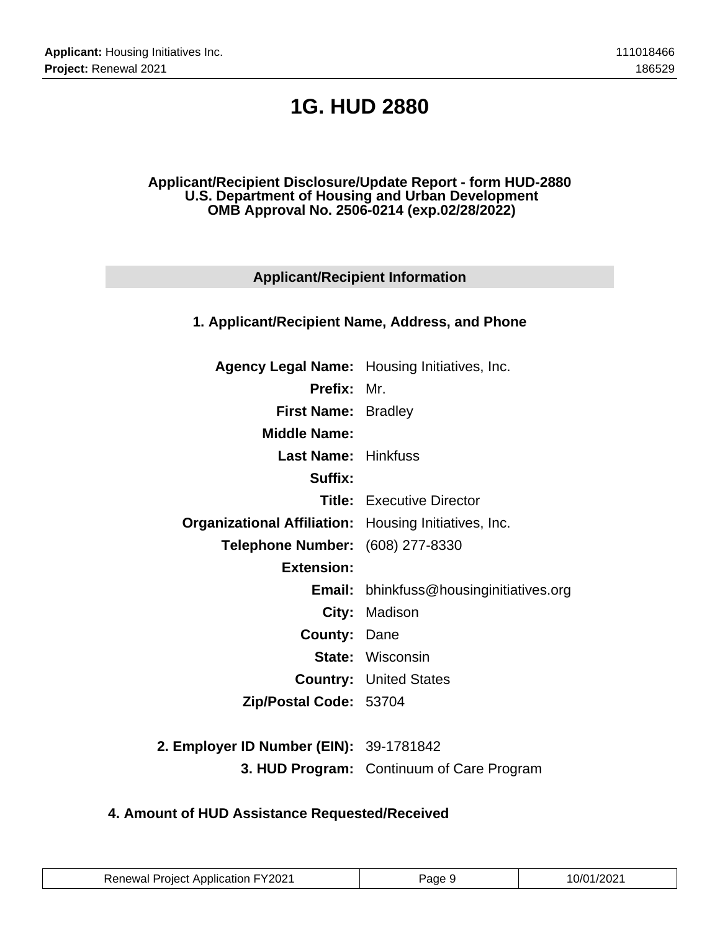## **1G. HUD 2880**

#### **Applicant/Recipient Disclosure/Update Report - form HUD-2880 U.S. Department of Housing and Urban Development OMB Approval No. 2506-0214 (exp.02/28/2022)**

### **Applicant/Recipient Information**

### **1. Applicant/Recipient Name, Address, and Phone**

|                                                       | <b>Agency Legal Name:</b> Housing Initiatives, Inc. |
|-------------------------------------------------------|-----------------------------------------------------|
| Prefix: Mr.                                           |                                                     |
| <b>First Name: Bradley</b>                            |                                                     |
| <b>Middle Name:</b>                                   |                                                     |
| <b>Last Name: Hinkfuss</b>                            |                                                     |
| Suffix:                                               |                                                     |
|                                                       | <b>Title:</b> Executive Director                    |
| Organizational Affiliation: Housing Initiatives, Inc. |                                                     |
| Telephone Number: (608) 277-8330                      |                                                     |
| <b>Extension:</b>                                     |                                                     |
|                                                       | <b>Email:</b> bhinkfuss@housinginitiatives.org      |
|                                                       | City: Madison                                       |
| <b>County: Dane</b>                                   |                                                     |
|                                                       | State: Wisconsin                                    |
|                                                       | <b>Country: United States</b>                       |
| Zip/Postal Code: 53704                                |                                                     |
|                                                       |                                                     |
| $\sim$ Lesse IB Messel en (FIM). - 00.4704040         |                                                     |

**2. Employer ID Number (EIN):** 39-1781842 **3. HUD Program:** Continuum of Care Program

### **4. Amount of HUD Assistance Requested/Received**

| <b>Renewal Project Application FY2021</b> | Page 9 | 10/01/2021 |
|-------------------------------------------|--------|------------|
|-------------------------------------------|--------|------------|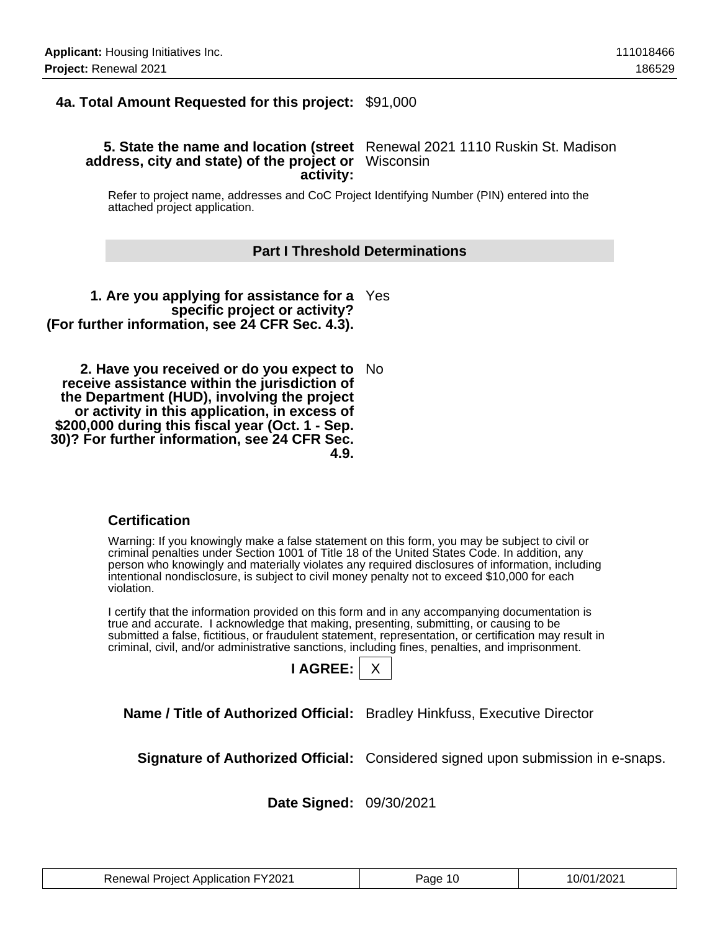### **4a. Total Amount Requested for this project:** \$91,000

#### **5. State the name and location (street** Renewal 2021 1110 Ruskin St. Madison **address, city and state) of the project or** Wisconsin **activity:**

Refer to project name, addresses and CoC Project Identifying Number (PIN) entered into the attached project application.

#### **Part I Threshold Determinations**

**1. Are you applying for assistance for a** Yes **specific project or activity? (For further information, see 24 CFR Sec. 4.3).**

**2. Have you received or do you expect to** No **receive assistance within the jurisdiction of the Department (HUD), involving the project or activity in this application, in excess of \$200,000 during this fiscal year (Oct. 1 - Sep. 30)? For further information, see 24 CFR Sec. 4.9.**

#### **Certification**

Warning: If you knowingly make a false statement on this form, you may be subject to civil or criminal penalties under Section 1001 of Title 18 of the United States Code. In addition, any person who knowingly and materially violates any required disclosures of information, including intentional nondisclosure, is subject to civil money penalty not to exceed \$10,000 for each violation.

I certify that the information provided on this form and in any accompanying documentation is true and accurate. I acknowledge that making, presenting, submitting, or causing to be submitted a false, fictitious, or fraudulent statement, representation, or certification may result in criminal, civil, and/or administrative sanctions, including fines, penalties, and imprisonment.

| <b>I AGREE:</b> |  |
|-----------------|--|
|-----------------|--|

**Name / Title of Authorized Official:** Bradley Hinkfuss, Executive Director

**Signature of Authorized Official:** Considered signed upon submission in e-snaps.

**Date Signed:** 09/30/2021

| <b>Renewal Project Application FY2021</b> | Page 10 | 10/01/2021 |
|-------------------------------------------|---------|------------|
|-------------------------------------------|---------|------------|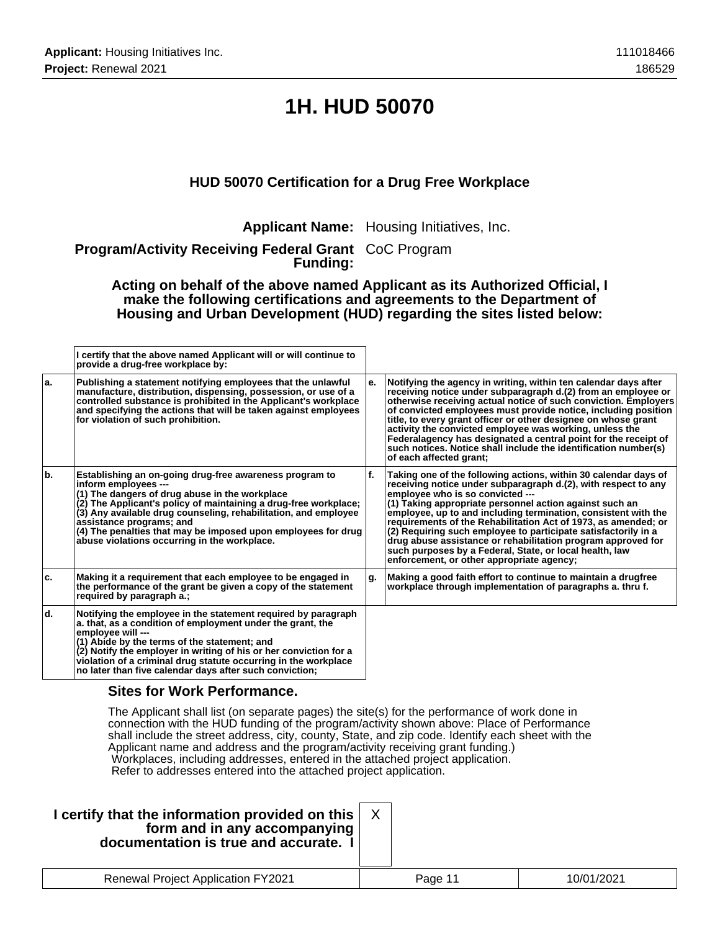## **1H. HUD 50070**

### **HUD 50070 Certification for a Drug Free Workplace**

**Applicant Name:** Housing Initiatives, Inc.

**Program/Activity Receiving Federal Grant** CoC Program **Funding:**

**Acting on behalf of the above named Applicant as its Authorized Official, I make the following certifications and agreements to the Department of Housing and Urban Development (HUD) regarding the sites listed below:**

|     | I certify that the above named Applicant will or will continue to<br>provide a drug-free workplace by:                                                                                                                                                                                                                                                                                                                |    |                                                                                                                                                                                                                                                                                                                                                                                                                                                                                                                                                                                                                |
|-----|-----------------------------------------------------------------------------------------------------------------------------------------------------------------------------------------------------------------------------------------------------------------------------------------------------------------------------------------------------------------------------------------------------------------------|----|----------------------------------------------------------------------------------------------------------------------------------------------------------------------------------------------------------------------------------------------------------------------------------------------------------------------------------------------------------------------------------------------------------------------------------------------------------------------------------------------------------------------------------------------------------------------------------------------------------------|
| ۱a. | Publishing a statement notifying employees that the unlawful<br>manufacture, distribution, dispensing, possession, or use of a<br>controlled substance is prohibited in the Applicant's workplace<br>and specifying the actions that will be taken against employees<br>for violation of such prohibition.                                                                                                            | е. | Notifying the agency in writing, within ten calendar days after<br>receiving notice under subparagraph d.(2) from an employee or<br>otherwise receiving actual notice of such conviction. Employers<br>of convicted employees must provide notice, including position<br>title, to every grant officer or other designee on whose grant<br>activity the convicted employee was working, unless the<br>Federalagency has designated a central point for the receipt of<br>such notices. Notice shall include the identification number(s)<br>of each affected grant:                                            |
| ۱b. | Establishing an on-going drug-free awareness program to<br>inform employees ---<br>(1) The dangers of drug abuse in the workplace<br>(2) The Applicant's policy of maintaining a drug-free workplace;<br>(3) Any available drug counseling, rehabilitation, and employee<br>assistance programs; and<br>(4) The penalties that may be imposed upon employees for drug<br>abuse violations occurring in the workplace. | f. | Taking one of the following actions, within 30 calendar days of<br>receiving notice under subparagraph d.(2), with respect to any<br>employee who is so convicted ---<br>(1) Taking appropriate personnel action against such an<br>employee, up to and including termination, consistent with the<br>requirements of the Rehabilitation Act of 1973, as amended; or<br>(2) Requiring such employee to participate satisfactorily in a<br>drug abuse assistance or rehabilitation program approved for<br>such purposes by a Federal, State, or local health, law<br>enforcement, or other appropriate agency; |
| ۱c. | Making it a requirement that each employee to be engaged in<br>the performance of the grant be given a copy of the statement<br>required by paragraph a.;                                                                                                                                                                                                                                                             | g. | Making a good faith effort to continue to maintain a drugfree<br>workplace through implementation of paragraphs a. thru f.                                                                                                                                                                                                                                                                                                                                                                                                                                                                                     |
| ld. | Notifying the employee in the statement required by paragraph<br>a. that, as a condition of employment under the grant, the<br>employee will ---<br>(1) Abide by the terms of the statement; and<br>(2) Notify the employer in writing of his or her conviction for a<br>violation of a criminal drug statute occurring in the workplace<br>no later than five calendar days after such conviction;                   |    |                                                                                                                                                                                                                                                                                                                                                                                                                                                                                                                                                                                                                |

#### **Sites for Work Performance.**

The Applicant shall list (on separate pages) the site(s) for the performance of work done in connection with the HUD funding of the program/activity shown above: Place of Performance shall include the street address, city, county, State, and zip code. Identify each sheet with the Applicant name and address and the program/activity receiving grant funding.) Workplaces, including addresses, entered in the attached project application. Refer to addresses entered into the attached project application.

| I certify that the information provided on this  <br>form and in any accompanying<br>documentation is true and accurate. I |         |            |
|----------------------------------------------------------------------------------------------------------------------------|---------|------------|
| <b>Renewal Project Application FY2021</b>                                                                                  | Page 11 | 10/01/2021 |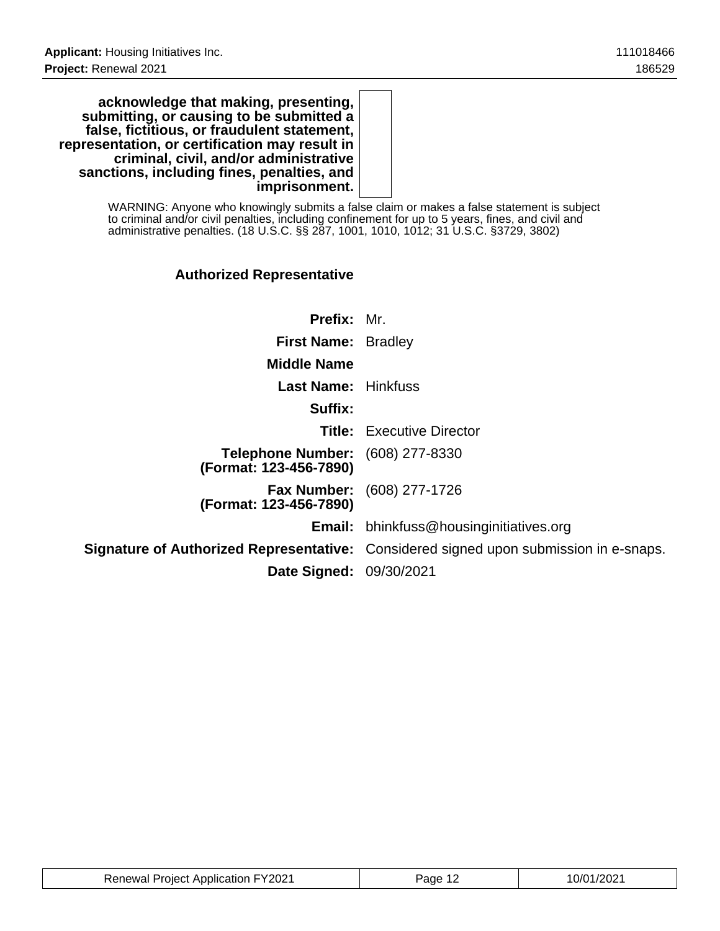**acknowledge that making, presenting, submitting, or causing to be submitted a false, fictitious, or fraudulent statement, representation, or certification may result in criminal, civil, and/or administrative sanctions, including fines, penalties, and imprisonment.**

> WARNING: Anyone who knowingly submits a false claim or makes a false statement is subject to criminal and/or civil penalties, including confinement for up to 5 years, fines, and civil and administrative penalties. (18 U.S.C. §§ 287, 1001, 1010, 1012; 31 U.S.C. §3729, 3802)

### **Authorized Representative**

| Prefix: Mr.                                                       |                                                                                              |
|-------------------------------------------------------------------|----------------------------------------------------------------------------------------------|
| <b>First Name: Bradley</b>                                        |                                                                                              |
| <b>Middle Name</b>                                                |                                                                                              |
| <b>Last Name: Hinkfuss</b>                                        |                                                                                              |
| Suffix:                                                           |                                                                                              |
|                                                                   | <b>Title:</b> Executive Director                                                             |
| <b>Telephone Number:</b> (608) 277-8330<br>(Format: 123-456-7890) |                                                                                              |
| (Format: 123-456-7890)                                            | <b>Fax Number:</b> (608) 277-1726                                                            |
|                                                                   | <b>Email:</b> bhinkfuss@housinginitiatives.org                                               |
|                                                                   | <b>Signature of Authorized Representative:</b> Considered signed upon submission in e-snaps. |
| <b>Date Signed: 09/30/2021</b>                                    |                                                                                              |

| <b>Renewal Project Application FY2021</b> | 'age | 10/01/2021 |
|-------------------------------------------|------|------------|
|-------------------------------------------|------|------------|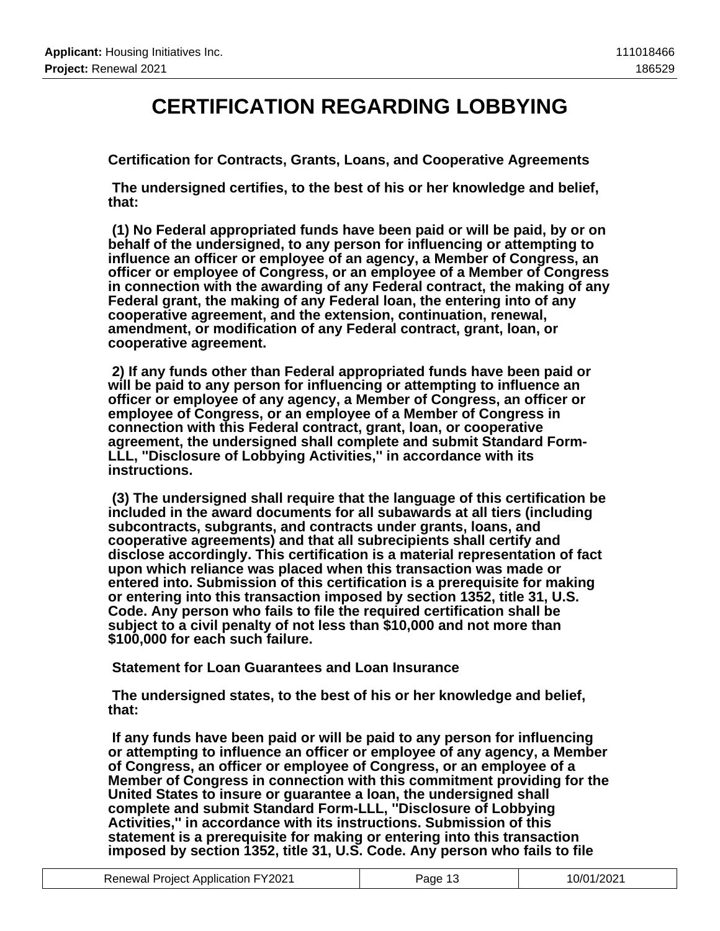### **CERTIFICATION REGARDING LOBBYING**

**Certification for Contracts, Grants, Loans, and Cooperative Agreements**

 **The undersigned certifies, to the best of his or her knowledge and belief, that:**

 **(1) No Federal appropriated funds have been paid or will be paid, by or on behalf of the undersigned, to any person for influencing or attempting to influence an officer or employee of an agency, a Member of Congress, an officer or employee of Congress, or an employee of a Member of Congress in connection with the awarding of any Federal contract, the making of any Federal grant, the making of any Federal loan, the entering into of any cooperative agreement, and the extension, continuation, renewal, amendment, or modification of any Federal contract, grant, loan, or cooperative agreement.**

 **2) If any funds other than Federal appropriated funds have been paid or will be paid to any person for influencing or attempting to influence an officer or employee of any agency, a Member of Congress, an officer or employee of Congress, or an employee of a Member of Congress in connection with this Federal contract, grant, loan, or cooperative agreement, the undersigned shall complete and submit Standard Form-LLL, ''Disclosure of Lobbying Activities,'' in accordance with its instructions.**

 **(3) The undersigned shall require that the language of this certification be included in the award documents for all subawards at all tiers (including subcontracts, subgrants, and contracts under grants, loans, and cooperative agreements) and that all subrecipients shall certify and disclose accordingly. This certification is a material representation of fact upon which reliance was placed when this transaction was made or entered into. Submission of this certification is a prerequisite for making or entering into this transaction imposed by section 1352, title 31, U.S. Code. Any person who fails to file the required certification shall be subject to a civil penalty of not less than \$10,000 and not more than \$100,000 for each such failure.**

 **Statement for Loan Guarantees and Loan Insurance**

 **The undersigned states, to the best of his or her knowledge and belief, that:**

 **If any funds have been paid or will be paid to any person for influencing or attempting to influence an officer or employee of any agency, a Member of Congress, an officer or employee of Congress, or an employee of a Member of Congress in connection with this commitment providing for the United States to insure or guarantee a loan, the undersigned shall complete and submit Standard Form-LLL, ''Disclosure of Lobbying Activities,'' in accordance with its instructions. Submission of this statement is a prerequisite for making or entering into this transaction imposed by section 1352, title 31, U.S. Code. Any person who fails to file**

| <b>Renewal Project Application FY2021</b> | Page 13 | 10/01/2021 |
|-------------------------------------------|---------|------------|
|-------------------------------------------|---------|------------|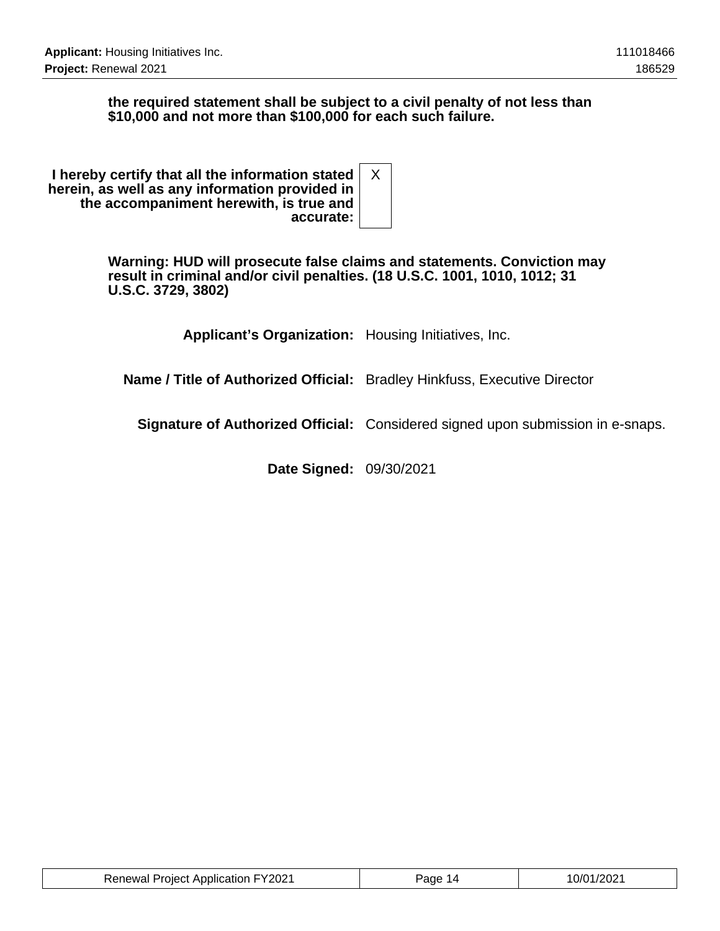#### **the required statement shall be subject to a civil penalty of not less than \$10,000 and not more than \$100,000 for each such failure.**

| I hereby certify that all the information stated<br>herein, as well as any information provided in $ $<br>the accompaniment herewith, is true and<br>accurate: I |  |
|------------------------------------------------------------------------------------------------------------------------------------------------------------------|--|
|                                                                                                                                                                  |  |
|                                                                                                                                                                  |  |

**Warning: HUD will prosecute false claims and statements. Conviction may result in criminal and/or civil penalties. (18 U.S.C. 1001, 1010, 1012; 31 U.S.C. 3729, 3802)**

**Applicant's Organization:** Housing Initiatives, Inc.

**Name / Title of Authorized Official:** Bradley Hinkfuss, Executive Director

**Signature of Authorized Official:** Considered signed upon submission in e-snaps.

**Date Signed:** 09/30/2021

| <b>Renewal Project Application FY2021</b> | Page 14 | 10/01/2021 |
|-------------------------------------------|---------|------------|
|-------------------------------------------|---------|------------|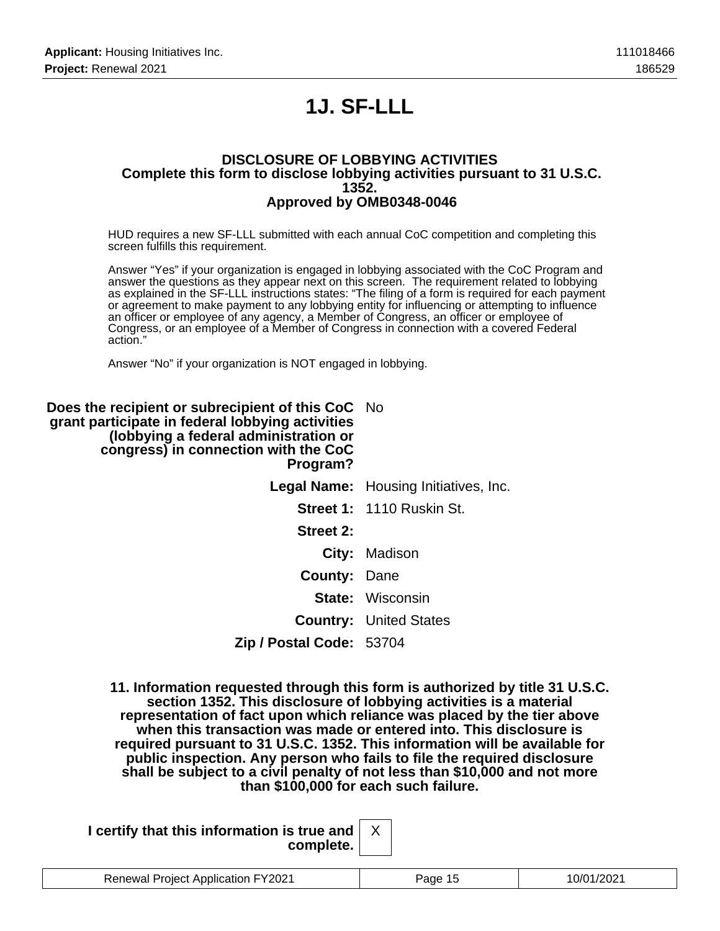# **1J. SF-LLL**

#### **DISCLOSURE OF LOBBYING ACTIVITIES Complete this form to disclose lobbying activities pursuant to 31 U.S.C. 1352. Approved by OMB0348-0046**

HUD requires a new SF-LLL submitted with each annual CoC competition and completing this screen fulfills this requirement.

Answer "Yes" if your organization is engaged in lobbying associated with the CoC Program and answer the questions as they appear next on this screen. The requirement related to lobbying as explained in the SF-LLL instructions states: "The filing of a form is required for each payment or agreement to make payment to any lobbying entity for influencing or attempting to influence an officer or employee of any agency, a Member of Congress, an officer or employee of Congress, or an employee of a Member of Congress in connection with a covered Federal action."

Answer "No" if your organization is NOT engaged in lobbying.

| <b>Does the recipient or subrecipient of this CoC</b> No<br>grant participate in federal lobbying activities<br>(lobbying a federal administration or<br>congress) in connection with the CoC<br>Program? |                                              |
|-----------------------------------------------------------------------------------------------------------------------------------------------------------------------------------------------------------|----------------------------------------------|
|                                                                                                                                                                                                           | <b>Legal Name:</b> Housing Initiatives, Inc. |
|                                                                                                                                                                                                           | Street 1: 1110 Ruskin St.                    |
| <b>Street 2:</b>                                                                                                                                                                                          |                                              |
|                                                                                                                                                                                                           | City: Madison                                |
| <b>County: Dane</b>                                                                                                                                                                                       |                                              |
|                                                                                                                                                                                                           | <b>State: Wisconsin</b>                      |
|                                                                                                                                                                                                           | <b>Country: United States</b>                |
| Zip / Postal Code: 53704                                                                                                                                                                                  |                                              |

**11. Information requested through this form is authorized by title 31 U.S.C. section 1352. This disclosure of lobbying activities is a material representation of fact upon which reliance was placed by the tier above when this transaction was made or entered into. This disclosure is required pursuant to 31 U.S.C. 1352. This information will be available for public inspection. Any person who fails to file the required disclosure shall be subject to a civil penalty of not less than \$10,000 and not more than \$100,000 for each such failure.**

| I certify that this information is true and $\vert$ |  |
|-----------------------------------------------------|--|
| complete.                                           |  |

|  | <b>Renewal Project Application FY2021</b> |  |  |
|--|-------------------------------------------|--|--|
|--|-------------------------------------------|--|--|

X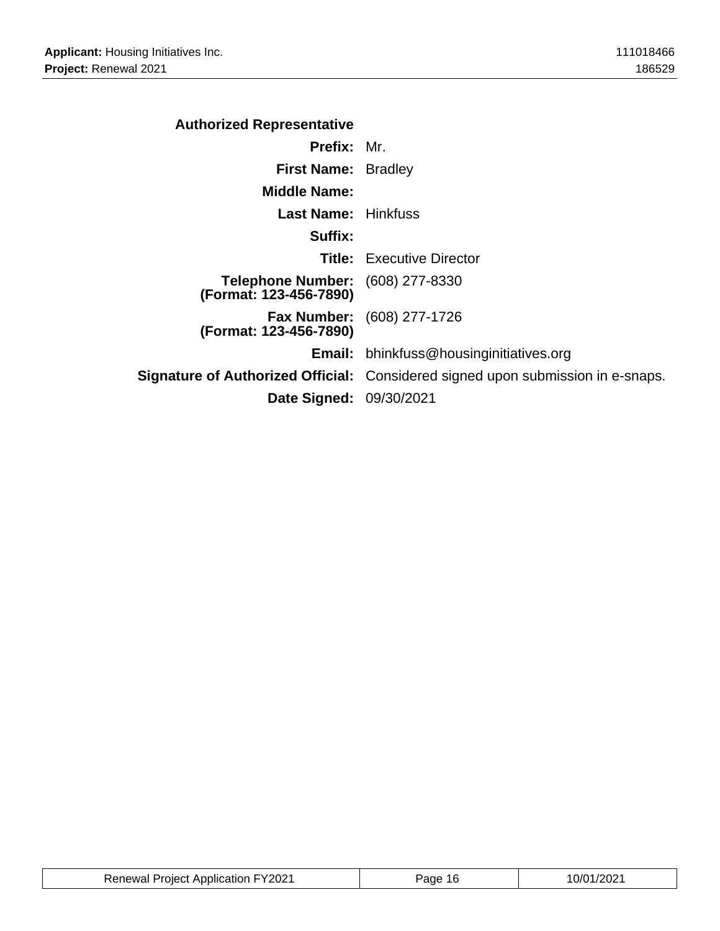| <b>Authorized Representative</b>                                  |                                                                                 |
|-------------------------------------------------------------------|---------------------------------------------------------------------------------|
| <b>Prefix: Mr.</b>                                                |                                                                                 |
| <b>First Name: Bradley</b>                                        |                                                                                 |
| <b>Middle Name:</b>                                               |                                                                                 |
| <b>Last Name:</b> Hinkfuss                                        |                                                                                 |
| Suffix:                                                           |                                                                                 |
|                                                                   | <b>Title:</b> Executive Director                                                |
| <b>Telephone Number:</b> (608) 277-8330<br>(Format: 123-456-7890) |                                                                                 |
| (Format: 123-456-7890)                                            | <b>Fax Number:</b> (608) 277-1726                                               |
|                                                                   | <b>Email:</b> bhinkfuss@housinginitiatives.org                                  |
|                                                                   | Signature of Authorized Official: Considered signed upon submission in e-snaps. |
| <b>Date Signed: 09/30/2021</b>                                    |                                                                                 |

| <b>Renewal Project Application FY2021</b> | Page 16 | 10/01/2021 |
|-------------------------------------------|---------|------------|
|-------------------------------------------|---------|------------|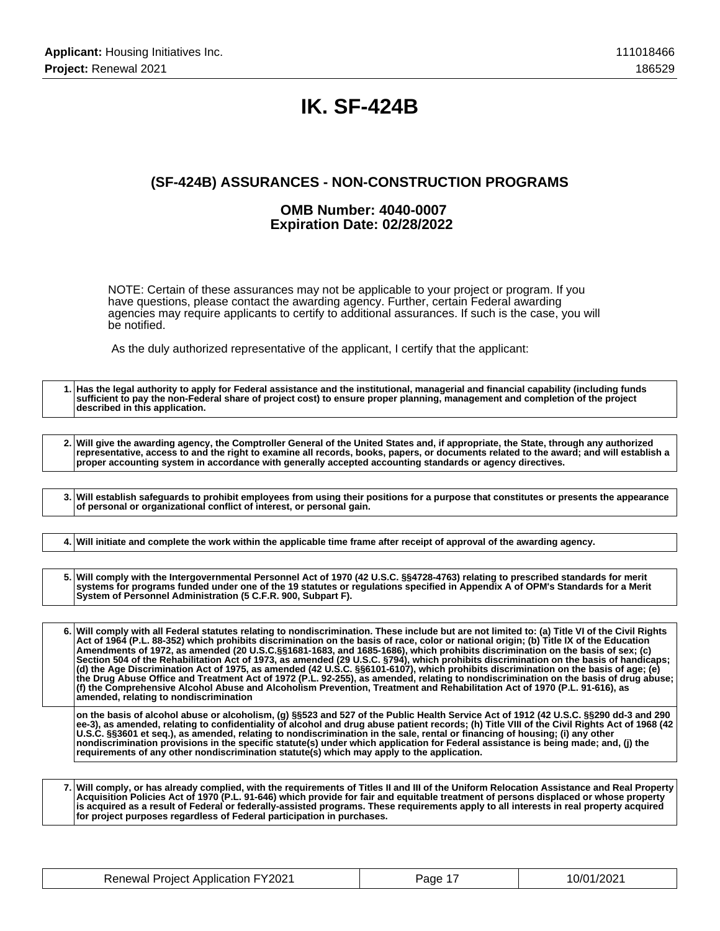## **IK. SF-424B**

### **(SF-424B) ASSURANCES - NON-CONSTRUCTION PROGRAMS**

#### **OMB Number: 4040-0007 Expiration Date: 02/28/2022**

NOTE: Certain of these assurances may not be applicable to your project or program. If you have questions, please contact the awarding agency. Further, certain Federal awarding agencies may require applicants to certify to additional assurances. If such is the case, you will be notified.

As the duly authorized representative of the applicant, I certify that the applicant:

**1. Has the legal authority to apply for Federal assistance and the institutional, managerial and financial capability (including funds sufficient to pay the non-Federal share of project cost) to ensure proper planning, management and completion of the project described in this application. 2. Will give the awarding agency, the Comptroller General of the United States and, if appropriate, the State, through any authorized representative, access to and the right to examine all records, books, papers, or documents related to the award; and will establish a proper accounting system in accordance with generally accepted accounting standards or agency directives. 3. Will establish safeguards to prohibit employees from using their positions for a purpose that constitutes or presents the appearance of personal or organizational conflict of interest, or personal gain. 4. Will initiate and complete the work within the applicable time frame after receipt of approval of the awarding agency. 5. Will comply with the Intergovernmental Personnel Act of 1970 (42 U.S.C. §§4728-4763) relating to prescribed standards for merit systems for programs funded under one of the 19 statutes or regulations specified in Appendix A of OPM's Standards for a Merit System of Personnel Administration (5 C.F.R. 900, Subpart F). 6. Will comply with all Federal statutes relating to nondiscrimination. These include but are not limited to: (a) Title VI of the Civil Rights Act of 1964 (P.L. 88-352) which prohibits discrimination on the basis of race, color or national origin; (b) Title IX of the Education Amendments of 1972, as amended (20 U.S.C.§§1681-1683, and 1685-1686), which prohibits discrimination on the basis of sex; (c) Section 504 of the Rehabilitation Act of 1973, as amended (29 U.S.C. §794), which prohibits discrimination on the basis of handicaps; (d) the Age Discrimination Act of 1975, as amended (42 U.S.C. §§6101-6107), which prohibits discrimination on the basis of age; (e) the Drug Abuse Office and Treatment Act of 1972 (P.L. 92-255), as amended, relating to nondiscrimination on the basis of drug abuse; (f) the Comprehensive Alcohol Abuse and Alcoholism Prevention, Treatment and Rehabilitation Act of 1970 (P.L. 91-616), as amended, relating to nondiscrimination on the basis of alcohol abuse or alcoholism, (g) §§523 and 527 of the Public Health Service Act of 1912 (42 U.S.C. §§290 dd-3 and 290 ee-3), as amended, relating to confidentiality of alcohol and drug abuse patient records; (h) Title VIII of the Civil Rights Act of 1968 (42 U.S.C. §§3601 et seq.), as amended, relating to nondiscrimination in the sale, rental or financing of housing; (i) any other nondiscrimination provisions in the specific statute(s) under which application for Federal assistance is being made; and, (j) the requirements of any other nondiscrimination statute(s) which may apply to the application.**

**7. Will comply, or has already complied, with the requirements of Titles II and III of the Uniform Relocation Assistance and Real Property Acquisition Policies Act of 1970 (P.L. 91-646) which provide for fair and equitable treatment of persons displaced or whose property is acquired as a result of Federal or federally-assisted programs. These requirements apply to all interests in real property acquired for project purposes regardless of Federal participation in purchases.**

| <b>Renewal Project Application FY2021</b> | Page <sup>1</sup> | 10/01/2021 |
|-------------------------------------------|-------------------|------------|
|-------------------------------------------|-------------------|------------|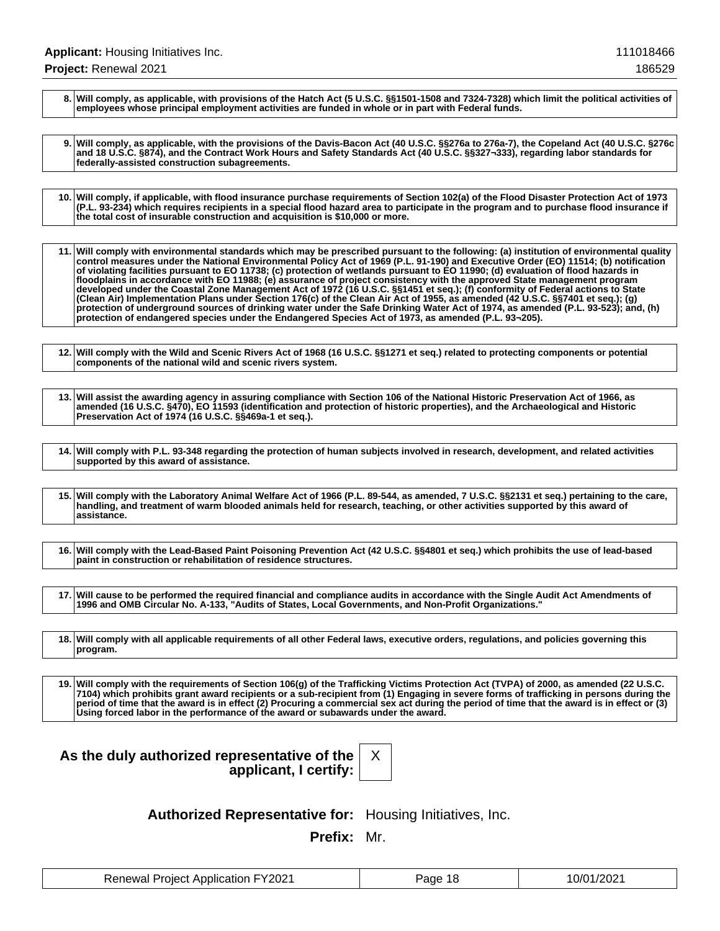**8. Will comply, as applicable, with provisions of the Hatch Act (5 U.S.C. §§1501-1508 and 7324-7328) which limit the political activities of employees whose principal employment activities are funded in whole or in part with Federal funds.**

**9. Will comply, as applicable, with the provisions of the Davis-Bacon Act (40 U.S.C. §§276a to 276a-7), the Copeland Act (40 U.S.C. §276c and 18 U.S.C. §874), and the Contract Work Hours and Safety Standards Act (40 U.S.C. §§327¬333), regarding labor standards for federally-assisted construction subagreements.**

**10. Will comply, if applicable, with flood insurance purchase requirements of Section 102(a) of the Flood Disaster Protection Act of 1973 (P.L. 93-234) which requires recipients in a special flood hazard area to participate in the program and to purchase flood insurance if the total cost of insurable construction and acquisition is \$10,000 or more.**

**11. Will comply with environmental standards which may be prescribed pursuant to the following: (a) institution of environmental quality control measures under the National Environmental Policy Act of 1969 (P.L. 91-190) and Executive Order (EO) 11514; (b) notification of violating facilities pursuant to EO 11738; (c) protection of wetlands pursuant to EO 11990; (d) evaluation of flood hazards in floodplains in accordance with EO 11988; (e) assurance of project consistency with the approved State management program developed under the Coastal Zone Management Act of 1972 (16 U.S.C. §§1451 et seq.); (f) conformity of Federal actions to State (Clean Air) Implementation Plans under Section 176(c) of the Clean Air Act of 1955, as amended (42 U.S.C. §§7401 et seq.); (g) protection of underground sources of drinking water under the Safe Drinking Water Act of 1974, as amended (P.L. 93-523); and, (h) protection of endangered species under the Endangered Species Act of 1973, as amended (P.L. 93¬205).**

**12. Will comply with the Wild and Scenic Rivers Act of 1968 (16 U.S.C. §§1271 et seq.) related to protecting components or potential components of the national wild and scenic rivers system.**

**13. Will assist the awarding agency in assuring compliance with Section 106 of the National Historic Preservation Act of 1966, as amended (16 U.S.C. §470), EO 11593 (identification and protection of historic properties), and the Archaeological and Historic Preservation Act of 1974 (16 U.S.C. §§469a-1 et seq.).**

**14. Will comply with P.L. 93-348 regarding the protection of human subjects involved in research, development, and related activities supported by this award of assistance.**

**15. Will comply with the Laboratory Animal Welfare Act of 1966 (P.L. 89-544, as amended, 7 U.S.C. §§2131 et seq.) pertaining to the care, handling, and treatment of warm blooded animals held for research, teaching, or other activities supported by this award of assistance.**

**16. Will comply with the Lead-Based Paint Poisoning Prevention Act (42 U.S.C. §§4801 et seq.) which prohibits the use of lead-based paint in construction or rehabilitation of residence structures.**

**17. Will cause to be performed the required financial and compliance audits in accordance with the Single Audit Act Amendments of 1996 and OMB Circular No. A-133, "Audits of States, Local Governments, and Non-Profit Organizations."**

**18. Will comply with all applicable requirements of all other Federal laws, executive orders, regulations, and policies governing this program.**

**19. Will comply with the requirements of Section 106(g) of the Trafficking Victims Protection Act (TVPA) of 2000, as amended (22 U.S.C. 7104) which prohibits grant award recipients or a sub-recipient from (1) Engaging in severe forms of trafficking in persons during the period of time that the award is in effect (2) Procuring a commercial sex act during the period of time that the award is in effect or (3) Using forced labor in the performance of the award or subawards under the award.**

| As the duly authorized representative of the $ $ |                       |
|--------------------------------------------------|-----------------------|
|                                                  | applicant, I certify: |



**Authorized Representative for:** Housing Initiatives, Inc.

**Prefix:** Mr.

| <b>Renewal Project Application FY2021</b> | <sup>5</sup> age 18 | 10/01/2021 |
|-------------------------------------------|---------------------|------------|
|-------------------------------------------|---------------------|------------|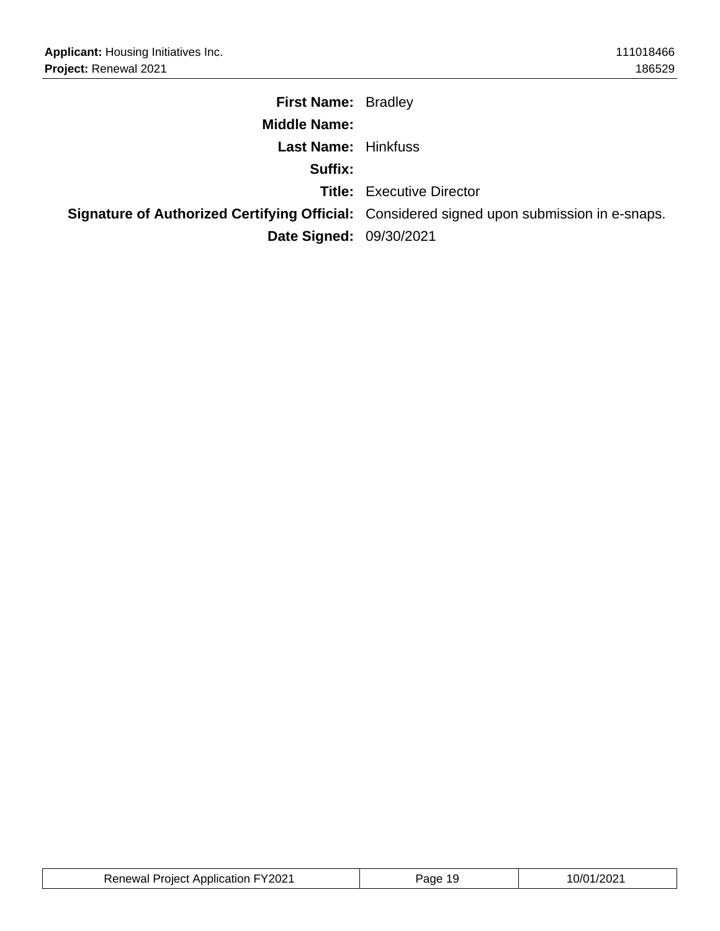| <b>First Name: Bradley</b>     |                                                                                                   |
|--------------------------------|---------------------------------------------------------------------------------------------------|
| <b>Middle Name:</b>            |                                                                                                   |
| <b>Last Name: Hinkfuss</b>     |                                                                                                   |
| Suffix:                        |                                                                                                   |
|                                | <b>Title:</b> Executive Director                                                                  |
|                                | <b>Signature of Authorized Certifying Official:</b> Considered signed upon submission in e-snaps. |
| <b>Date Signed: 09/30/2021</b> |                                                                                                   |

| <b>Renewal Project Application FY2021</b> | <sup>5</sup> age 19 | 10/01/2021 |
|-------------------------------------------|---------------------|------------|
|-------------------------------------------|---------------------|------------|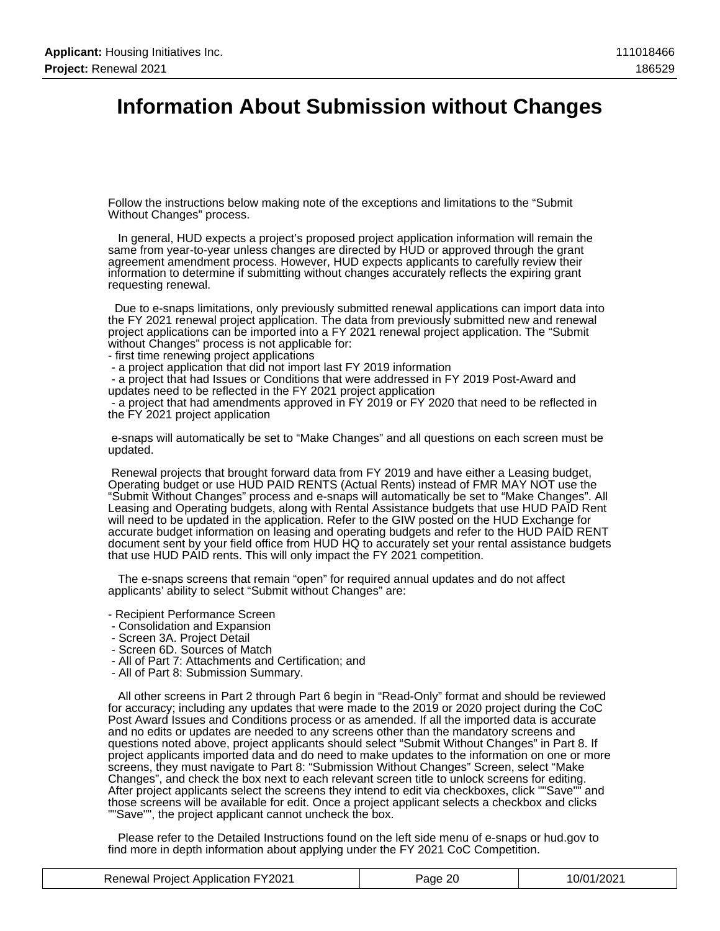### **Information About Submission without Changes**

Follow the instructions below making note of the exceptions and limitations to the "Submit Without Changes" process.

 In general, HUD expects a project's proposed project application information will remain the same from year-to-year unless changes are directed by HUD or approved through the grant agreement amendment process. However, HUD expects applicants to carefully review their information to determine if submitting without changes accurately reflects the expiring grant requesting renewal.

 Due to e-snaps limitations, only previously submitted renewal applications can import data into the FY 2021 renewal project application. The data from previously submitted new and renewal project applications can be imported into a FY 2021 renewal project application. The "Submit without Changes" process is not applicable for:

- first time renewing project applications
- a project application that did not import last FY 2019 information

 - a project that had Issues or Conditions that were addressed in FY 2019 Post-Award and updates need to be reflected in the FY 2021 project application

 - a project that had amendments approved in FY 2019 or FY 2020 that need to be reflected in the FY 2021 project application

 e-snaps will automatically be set to "Make Changes" and all questions on each screen must be updated.

 Renewal projects that brought forward data from FY 2019 and have either a Leasing budget, Operating budget or use HUD PAID RENTS (Actual Rents) instead of FMR MAY NOT use the "Submit Without Changes" process and e-snaps will automatically be set to "Make Changes". All Leasing and Operating budgets, along with Rental Assistance budgets that use HUD PAID Rent will need to be updated in the application. Refer to the GIW posted on the HUD Exchange for accurate budget information on leasing and operating budgets and refer to the HUD PAID RENT document sent by your field office from HUD HQ to accurately set your rental assistance budgets that use HUD PAID rents. This will only impact the FY 2021 competition.

 The e-snaps screens that remain "open" for required annual updates and do not affect applicants' ability to select "Submit without Changes" are:

- Recipient Performance Screen
- Consolidation and Expansion
- Screen 3A. Project Detail
- Screen 6D. Sources of Match
- All of Part 7: Attachments and Certification; and
- All of Part 8: Submission Summary.

 All other screens in Part 2 through Part 6 begin in "Read-Only" format and should be reviewed for accuracy; including any updates that were made to the 2019 or 2020 project during the CoC Post Award Issues and Conditions process or as amended. If all the imported data is accurate and no edits or updates are needed to any screens other than the mandatory screens and questions noted above, project applicants should select "Submit Without Changes" in Part 8. If project applicants imported data and do need to make updates to the information on one or more screens, they must navigate to Part 8: "Submission Without Changes" Screen, select "Make Changes", and check the box next to each relevant screen title to unlock screens for editing. After project applicants select the screens they intend to edit via checkboxes, click ""Save"" and those screens will be available for edit. Once a project applicant selects a checkbox and clicks ""Save"", the project applicant cannot uncheck the box.

 Please refer to the Detailed Instructions found on the left side menu of e-snaps or hud.gov to find more in depth information about applying under the FY 2021 CoC Competition.

| <b>Renewal Project Application FY2021</b> | Page 20 | 10/01/2021 |
|-------------------------------------------|---------|------------|
|-------------------------------------------|---------|------------|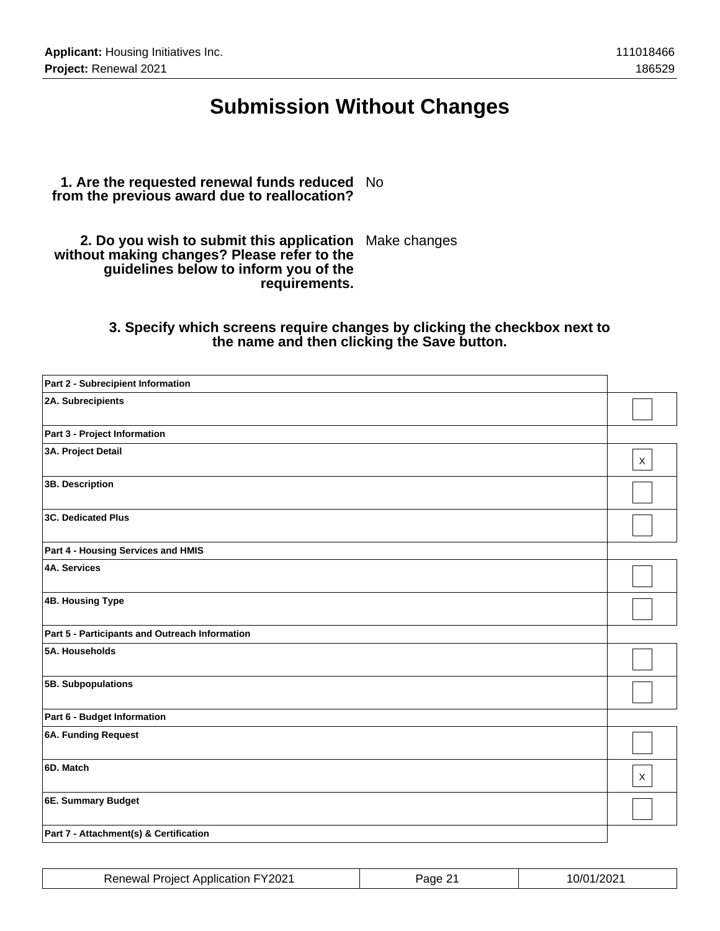### **Submission Without Changes**

#### **1. Are the requested renewal funds reduced** No **from the previous award due to reallocation?**

**2. Do you wish to submit this application** Make changes **without making changes? Please refer to the guidelines below to inform you of the requirements.**

#### **3. Specify which screens require changes by clicking the checkbox next to the name and then clicking the Save button.**

| Part 2 - Subrecipient Information              |          |
|------------------------------------------------|----------|
| 2A. Subrecipients                              |          |
| Part 3 - Project Information                   |          |
| 3A. Project Detail                             | X        |
| 3B. Description                                |          |
| 3C. Dedicated Plus                             |          |
| Part 4 - Housing Services and HMIS             |          |
| <b>4A. Services</b>                            |          |
| 4B. Housing Type                               |          |
| Part 5 - Participants and Outreach Information |          |
| 5A. Households                                 |          |
| 5B. Subpopulations                             |          |
| Part 6 - Budget Information                    |          |
| 6A. Funding Request                            |          |
| 6D. Match                                      | $\times$ |
| 6E. Summary Budget                             |          |
| Part 7 - Attachment(s) & Certification         |          |

| <b>Renewal Project Application FY2021</b> | Page 21 | 10/01/2021 |
|-------------------------------------------|---------|------------|
|-------------------------------------------|---------|------------|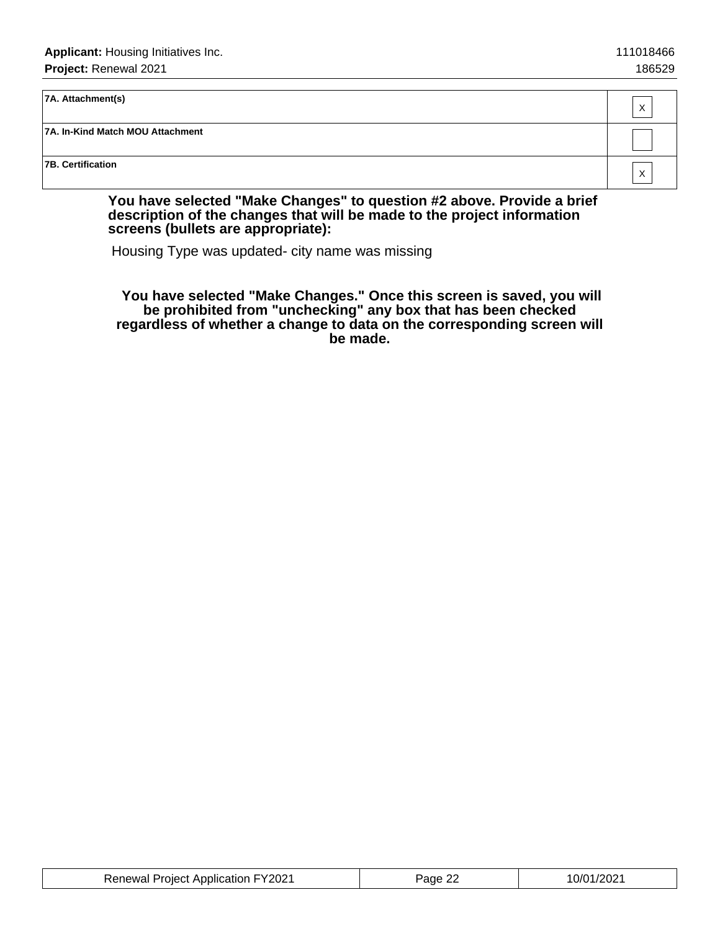| 7A. Attachment(s)                | X |
|----------------------------------|---|
| 7A. In-Kind Match MOU Attachment |   |
| 7B. Certification                | X |

**You have selected "Make Changes" to question #2 above. Provide a brief description of the changes that will be made to the project information screens (bullets are appropriate):**

Housing Type was updated- city name was missing

 **You have selected "Make Changes." Once this screen is saved, you will be prohibited from "unchecking" any box that has been checked regardless of whether a change to data on the corresponding screen will be made.**

| <b>Renewal Project Application FY2021</b> | Page 22 | 10/01/2021 |
|-------------------------------------------|---------|------------|
|-------------------------------------------|---------|------------|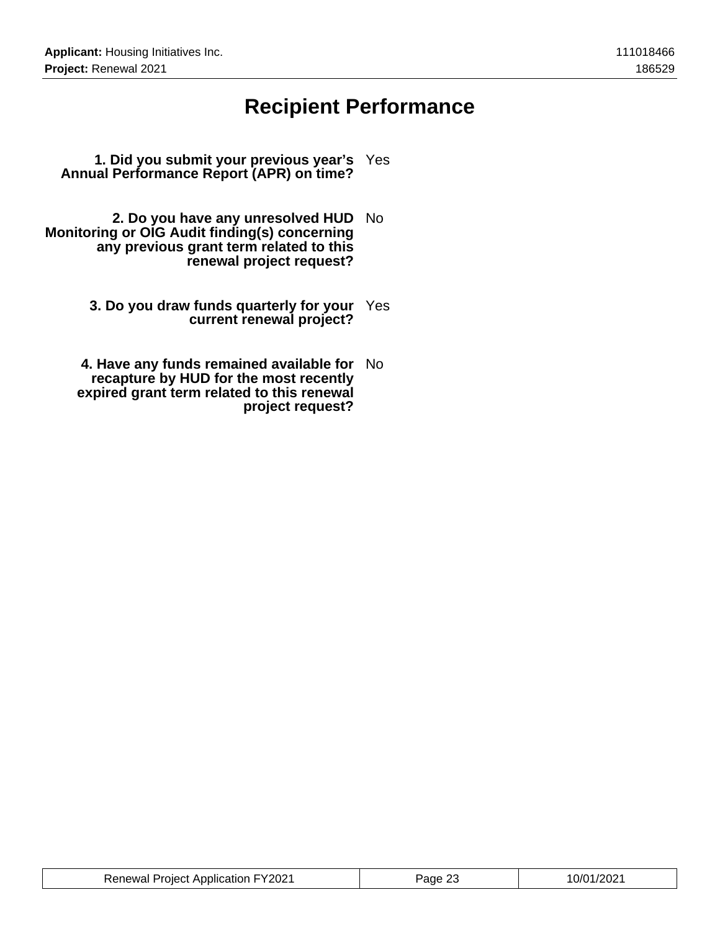### **Recipient Performance**

- **1. Did you submit your previous year's** Yes **Annual Performance Report (APR) on time?**
- **2. Do you have any unresolved HUD** No **Monitoring or OIG Audit finding(s) concerning any previous grant term related to this renewal project request?**
	- **3. Do you draw funds quarterly for your** Yes **current renewal project?**
	- **4. Have any funds remained available for** No **recapture by HUD for the most recently expired grant term related to this renewal project request?**

| <b>Renewal Project Application FY2021</b> | Page 23 | 10/01/2021 |
|-------------------------------------------|---------|------------|
|-------------------------------------------|---------|------------|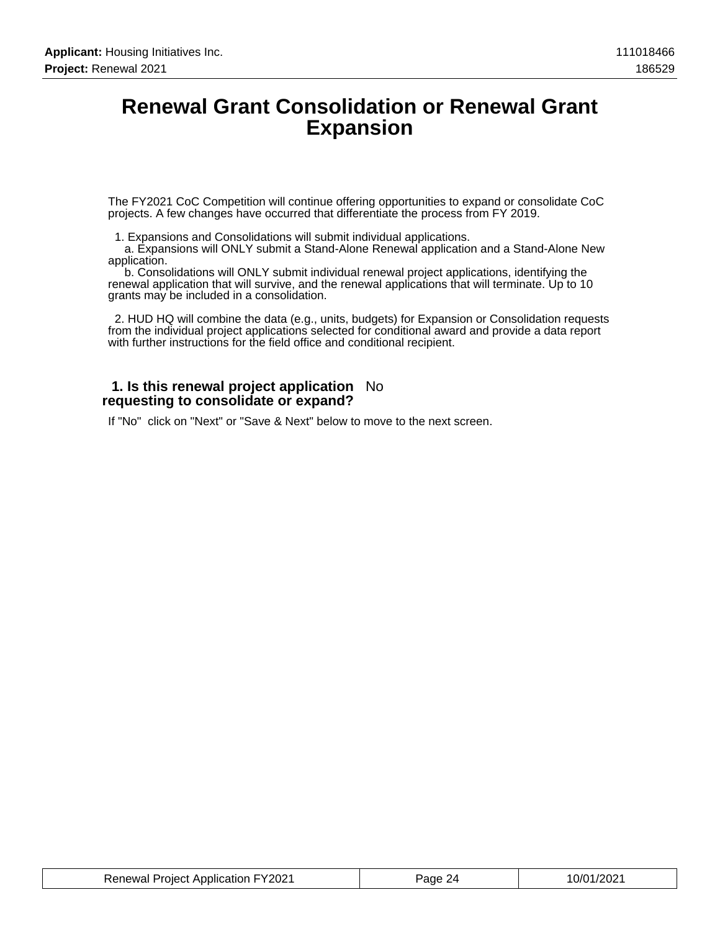### **Renewal Grant Consolidation or Renewal Grant Expansion**

The FY2021 CoC Competition will continue offering opportunities to expand or consolidate CoC projects. A few changes have occurred that differentiate the process from FY 2019.

1. Expansions and Consolidations will submit individual applications.

 a. Expansions will ONLY submit a Stand-Alone Renewal application and a Stand-Alone New application.

 b. Consolidations will ONLY submit individual renewal project applications, identifying the renewal application that will survive, and the renewal applications that will terminate. Up to 10 grants may be included in a consolidation.

 2. HUD HQ will combine the data (e.g., units, budgets) for Expansion or Consolidation requests from the individual project applications selected for conditional award and provide a data report with further instructions for the field office and conditional recipient.

#### **1. Is this renewal project application** No **requesting to consolidate or expand?**

If "No" click on "Next" or "Save & Next" below to move to the next screen.

| <b>Renewal Project Application FY2021</b> | Page 24 | 10/01/2021 |
|-------------------------------------------|---------|------------|
|-------------------------------------------|---------|------------|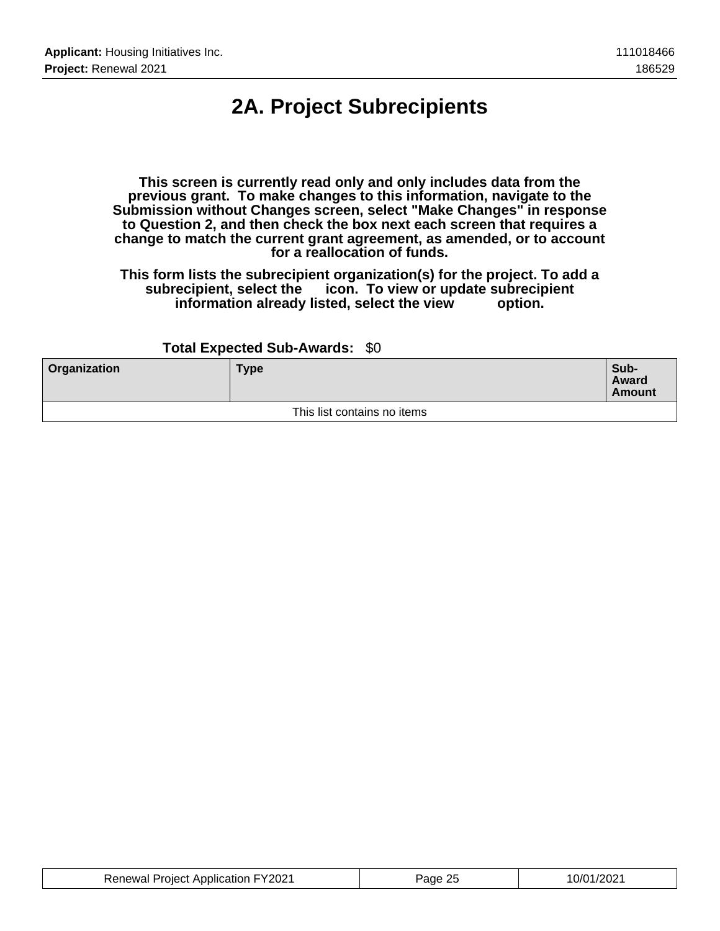## **2A. Project Subrecipients**

**This screen is currently read only and only includes data from the previous grant. To make changes to this information, navigate to the Submission without Changes screen, select "Make Changes" in response to Question 2, and then check the box next each screen that requires a change to match the current grant agreement, as amended, or to account for a reallocation of funds.**

**This form lists the subrecipient organization(s) for the project. To add a subrecipient, select the icon. To view or update subrecipient information already listed, select the view** 

#### **Total Expected Sub-Awards:** \$0

| <b>Organization</b> | <b>Type</b>                 | Sub-<br>Award<br><b>Amount</b> |
|---------------------|-----------------------------|--------------------------------|
|                     | This list contains no items |                                |

| <b>Renewal Project Application FY2021</b> | Page 25 | 10/01/2021 |
|-------------------------------------------|---------|------------|
|-------------------------------------------|---------|------------|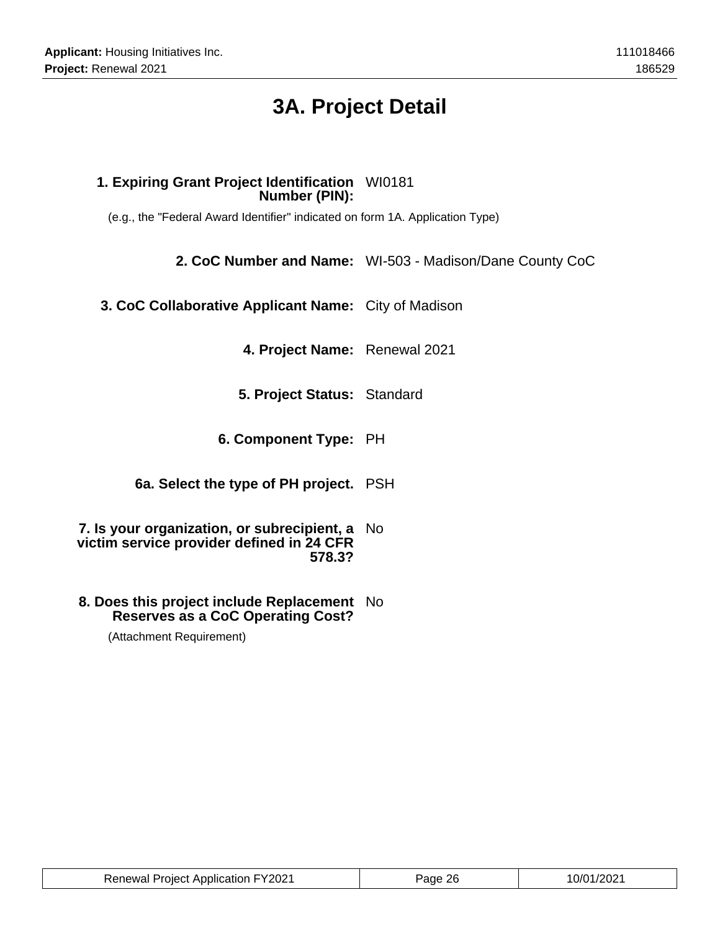## **3A. Project Detail**

### **1. Expiring Grant Project Identification** WI0181 **Number (PIN):**

(e.g., the "Federal Award Identifier" indicated on form 1A. Application Type)

**2. CoC Number and Name:** WI-503 - Madison/Dane County CoC

**3. CoC Collaborative Applicant Name:** City of Madison

**4. Project Name:** Renewal 2021

**5. Project Status:** Standard

**6. Component Type:** PH

**6a. Select the type of PH project.** PSH

**7. Is your organization, or subrecipient, a** No **victim service provider defined in 24 CFR 578.3?**

#### **8. Does this project include Replacement** No **Reserves as a CoC Operating Cost?**

(Attachment Requirement)

| <b>Renewal Project Application FY2021</b> | Page 26 | 10/01/2021 |
|-------------------------------------------|---------|------------|
|-------------------------------------------|---------|------------|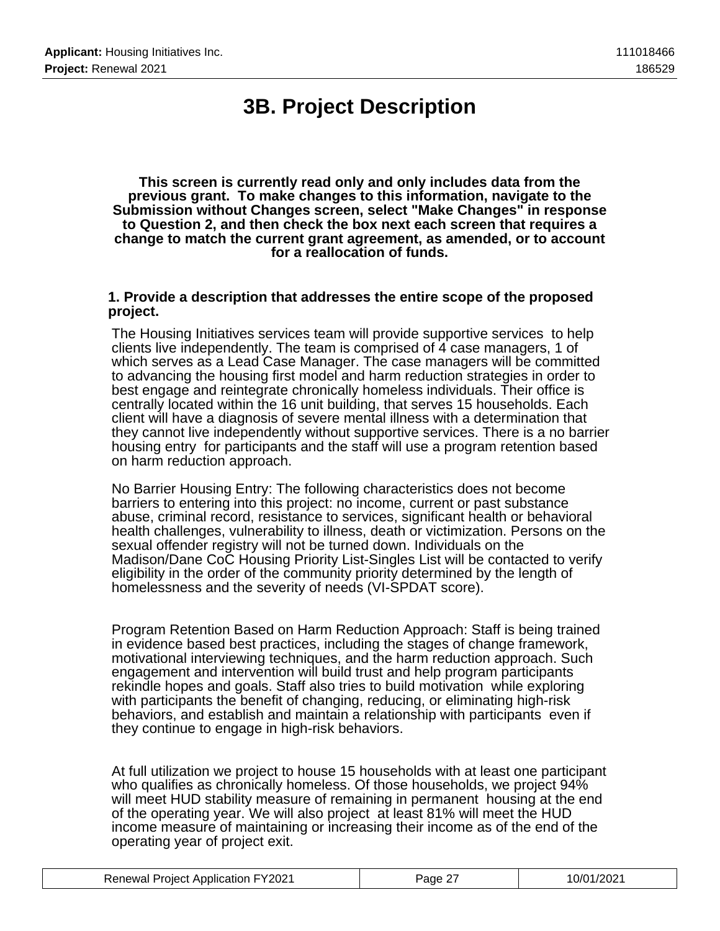## **3B. Project Description**

**This screen is currently read only and only includes data from the previous grant. To make changes to this information, navigate to the Submission without Changes screen, select "Make Changes" in response to Question 2, and then check the box next each screen that requires a change to match the current grant agreement, as amended, or to account for a reallocation of funds.**

#### **1. Provide a description that addresses the entire scope of the proposed project.**

The Housing Initiatives services team will provide supportive services to help clients live independently. The team is comprised of 4 case managers, 1 of which serves as a Lead Case Manager. The case managers will be committed to advancing the housing first model and harm reduction strategies in order to best engage and reintegrate chronically homeless individuals. Their office is centrally located within the 16 unit building, that serves 15 households. Each client will have a diagnosis of severe mental illness with a determination that they cannot live independently without supportive services. There is a no barrier housing entry for participants and the staff will use a program retention based on harm reduction approach.

No Barrier Housing Entry: The following characteristics does not become barriers to entering into this project: no income, current or past substance abuse, criminal record, resistance to services, significant health or behavioral health challenges, vulnerability to illness, death or victimization. Persons on the sexual offender registry will not be turned down. Individuals on the Madison/Dane CoC Housing Priority List-Singles List will be contacted to verify eligibility in the order of the community priority determined by the length of homelessness and the severity of needs (VI-SPDAT score).

Program Retention Based on Harm Reduction Approach: Staff is being trained in evidence based best practices, including the stages of change framework, motivational interviewing techniques, and the harm reduction approach. Such engagement and intervention will build trust and help program participants rekindle hopes and goals. Staff also tries to build motivation while exploring with participants the benefit of changing, reducing, or eliminating high-risk behaviors, and establish and maintain a relationship with participants even if they continue to engage in high-risk behaviors.

At full utilization we project to house 15 households with at least one participant who qualifies as chronically homeless. Of those households, we project 94% will meet HUD stability measure of remaining in permanent housing at the end of the operating year. We will also project at least 81% will meet the HUD income measure of maintaining or increasing their income as of the end of the operating year of project exit.

| <b>Renewal Project Application FY2021</b> | Page 27 | 10/01/2021 |
|-------------------------------------------|---------|------------|
|-------------------------------------------|---------|------------|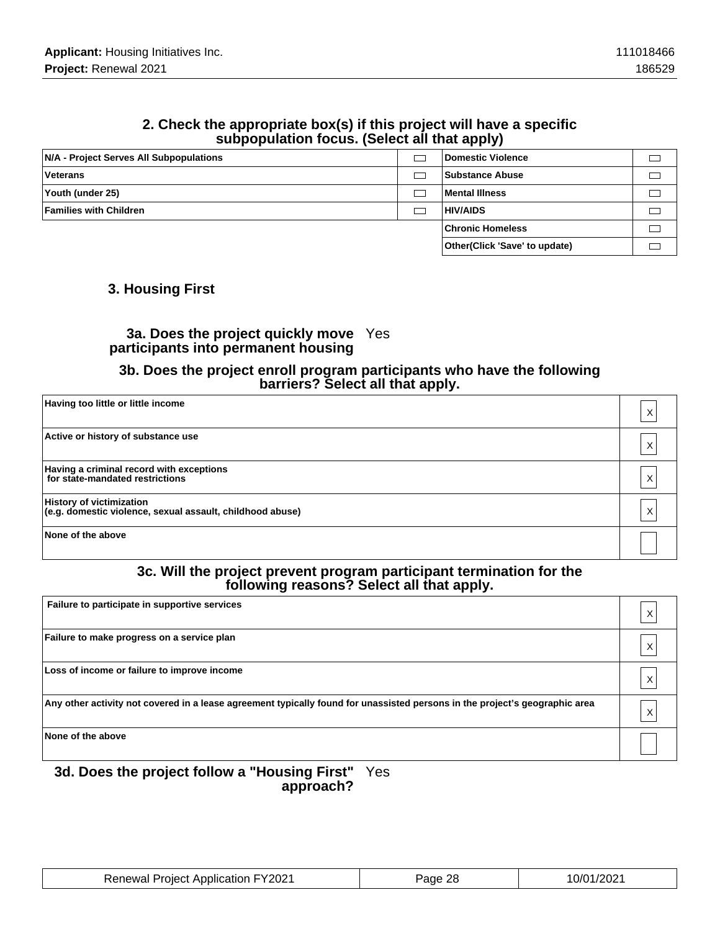#### **2. Check the appropriate box(s) if this project will have a specific subpopulation focus. (Select all that apply)**

| <b>N/A - Project Serves All Subpopulations</b> | Domestic Violence              |  |
|------------------------------------------------|--------------------------------|--|
| Veterans                                       | <b>Substance Abuse</b>         |  |
| Youth (under 25)                               | Mental Illness                 |  |
| <b>Families with Children</b>                  | <b>HIV/AIDS</b>                |  |
|                                                | <b>Chronic Homeless</b>        |  |
|                                                | Other (Click 'Save' to update) |  |

### **3. Housing First**

### **3a. Does the project quickly move** Yes **participants into permanent housing**

#### **3b. Does the project enroll program participants who have the following barriers? Select all that apply.**

| Having too little or little income                                                           | Х |
|----------------------------------------------------------------------------------------------|---|
| Active or history of substance use                                                           | X |
| Having a criminal record with exceptions<br>for state-mandated restrictions                  | X |
| <b>History of victimization</b><br>(e.g. domestic violence, sexual assault, childhood abuse) | Χ |
| None of the above                                                                            |   |

#### **3c. Will the project prevent program participant termination for the following reasons? Select all that apply.**

| Failure to participate in supportive services                                                                               |              |
|-----------------------------------------------------------------------------------------------------------------------------|--------------|
| Failure to make progress on a service plan                                                                                  |              |
| Loss of income or failure to improve income                                                                                 | $\checkmark$ |
| Any other activity not covered in a lease agreement typically found for unassisted persons in the project's geographic area | X            |
| None of the above                                                                                                           |              |

#### **3d. Does the project follow a "Housing First"** Yes **approach?**

| <b>Renewal Project Application FY2021</b> | Page 28 | 10/01/2021 |
|-------------------------------------------|---------|------------|
|-------------------------------------------|---------|------------|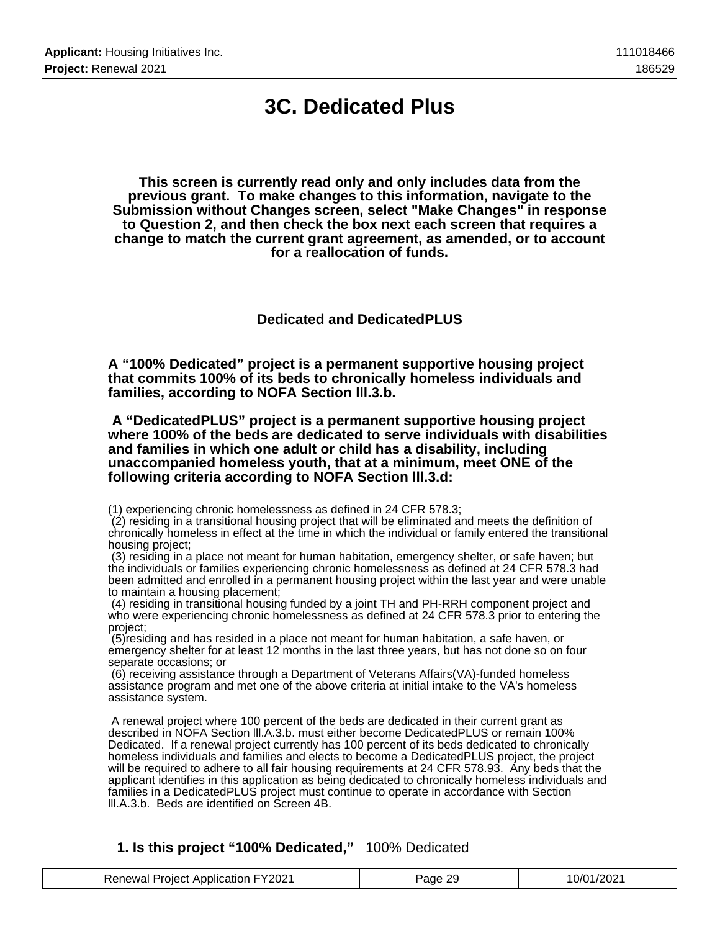## **3C. Dedicated Plus**

**This screen is currently read only and only includes data from the previous grant. To make changes to this information, navigate to the Submission without Changes screen, select "Make Changes" in response to Question 2, and then check the box next each screen that requires a change to match the current grant agreement, as amended, or to account for a reallocation of funds.**

**Dedicated and DedicatedPLUS**

**A "100% Dedicated" project is a permanent supportive housing project that commits 100% of its beds to chronically homeless individuals and families, according to NOFA Section lll.3.b.**

 **A "DedicatedPLUS" project is a permanent supportive housing project where 100% of the beds are dedicated to serve individuals with disabilities and families in which one adult or child has a disability, including unaccompanied homeless youth, that at a minimum, meet ONE of the following criteria according to NOFA Section lll.3.d:**

(1) experiencing chronic homelessness as defined in 24 CFR 578.3;

 (2) residing in a transitional housing project that will be eliminated and meets the definition of chronically homeless in effect at the time in which the individual or family entered the transitional housing project;

 (3) residing in a place not meant for human habitation, emergency shelter, or safe haven; but the individuals or families experiencing chronic homelessness as defined at 24 CFR 578.3 had been admitted and enrolled in a permanent housing project within the last year and were unable to maintain a housing placement;

 (4) residing in transitional housing funded by a joint TH and PH-RRH component project and who were experiencing chronic homelessness as defined at 24 CFR 578.3 prior to entering the project;

 (5)residing and has resided in a place not meant for human habitation, a safe haven, or emergency shelter for at least 12 months in the last three years, but has not done so on four separate occasions; or

 (6) receiving assistance through a Department of Veterans Affairs(VA)-funded homeless assistance program and met one of the above criteria at initial intake to the VA's homeless assistance system.

 A renewal project where 100 percent of the beds are dedicated in their current grant as described in NOFA Section lll.A.3.b. must either become DedicatedPLUS or remain 100% Dedicated. If a renewal project currently has 100 percent of its beds dedicated to chronically homeless individuals and families and elects to become a DedicatedPLUS project, the project will be required to adhere to all fair housing requirements at 24 CFR 578.93. Any beds that the applicant identifies in this application as being dedicated to chronically homeless individuals and families in a DedicatedPLUS project must continue to operate in accordance with Section lll.A.3.b. Beds are identified on Screen 4B.

#### **1. Is this project "100% Dedicated,"** 100% Dedicated

| <b>Renewal Project Application FY2021</b> | Page 29 | 10/01/2021 |
|-------------------------------------------|---------|------------|
|-------------------------------------------|---------|------------|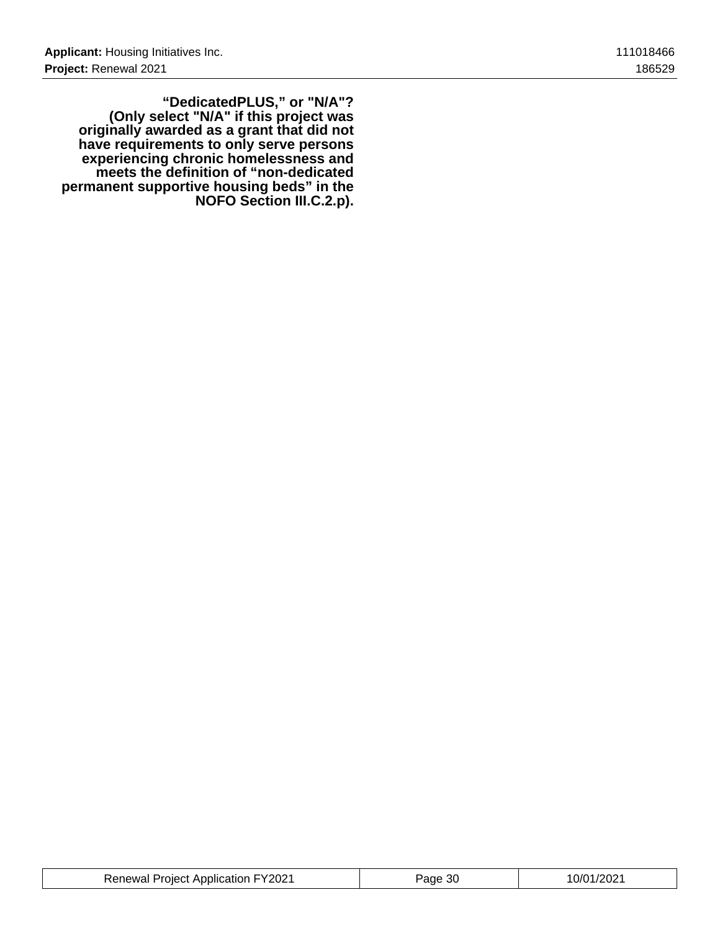**"DedicatedPLUS," or "N/A"? (Only select "N/A" if this project was originally awarded as a grant that did not have requirements to only serve persons experiencing chronic homelessness and meets the definition of "non-dedicated permanent supportive housing beds" in the NOFO Section III.C.2.p).**

| <b>Renewal Project Application FY2021</b> | Page 30 | 10/01/2021 |
|-------------------------------------------|---------|------------|
|-------------------------------------------|---------|------------|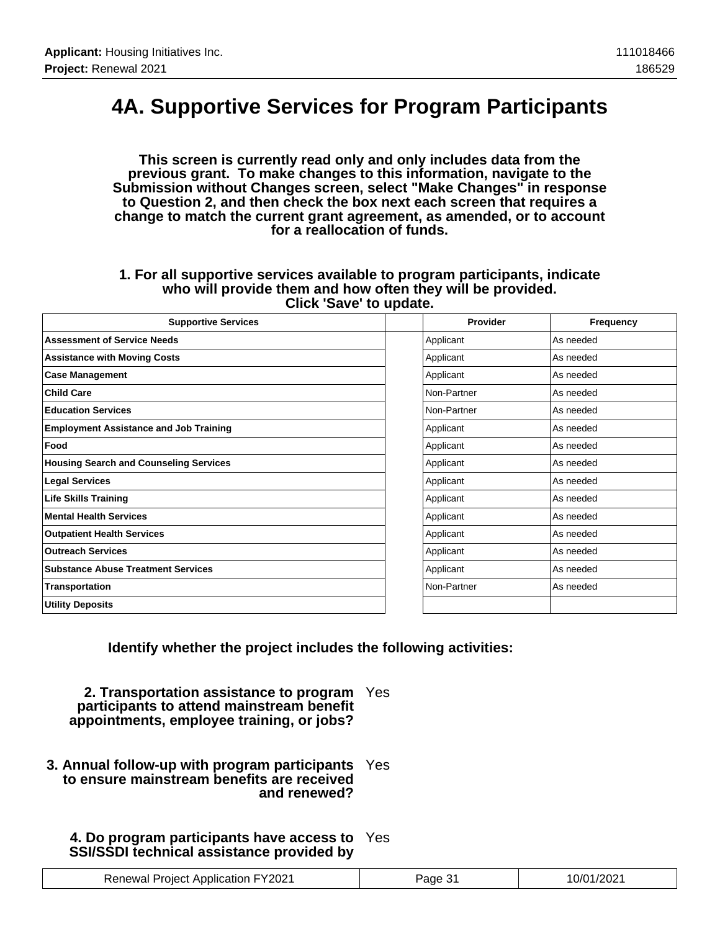## **4A. Supportive Services for Program Participants**

**This screen is currently read only and only includes data from the previous grant. To make changes to this information, navigate to the Submission without Changes screen, select "Make Changes" in response to Question 2, and then check the box next each screen that requires a change to match the current grant agreement, as amended, or to account for a reallocation of funds.**

#### **1. For all supportive services available to program participants, indicate who will provide them and how often they will be provided. Click 'Save' to update.**

| <b>Supportive Services</b>                    | Provider    | Frequency |
|-----------------------------------------------|-------------|-----------|
| <b>Assessment of Service Needs</b>            | Applicant   | As needed |
| <b>Assistance with Moving Costs</b>           | Applicant   | As needed |
| <b>Case Management</b>                        | Applicant   | As needed |
| <b>Child Care</b>                             | Non-Partner | As needed |
| <b>Education Services</b>                     | Non-Partner | As needed |
| <b>Employment Assistance and Job Training</b> | Applicant   | As needed |
| Food                                          | Applicant   | As needed |
| <b>Housing Search and Counseling Services</b> | Applicant   | As needed |
| <b>Legal Services</b>                         | Applicant   | As needed |
| <b>Life Skills Training</b>                   | Applicant   | As needed |
| <b>Mental Health Services</b>                 | Applicant   | As needed |
| <b>Outpatient Health Services</b>             | Applicant   | As needed |
| <b>Outreach Services</b>                      | Applicant   | As needed |
| <b>Substance Abuse Treatment Services</b>     | Applicant   | As needed |
| Transportation                                | Non-Partner | As needed |
| <b>Utility Deposits</b>                       |             |           |

**Identify whether the project includes the following activities:**

**2. Transportation assistance to program** Yes **participants to attend mainstream benefit appointments, employee training, or jobs?**

**3. Annual follow-up with program participants** Yes **to ensure mainstream benefits are received and renewed?**

### **4. Do program participants have access to** Yes **SSI/SSDI technical assistance provided by**

| <b>Renewal Project Application FY2021</b> | Page 31 | 10/01/2021 |
|-------------------------------------------|---------|------------|
|-------------------------------------------|---------|------------|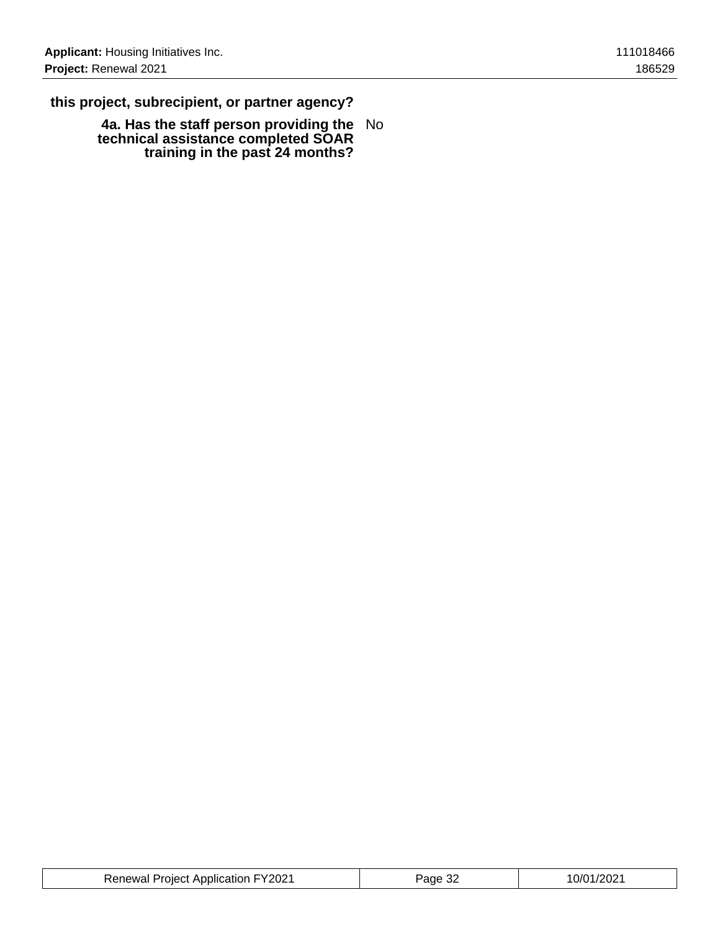### **this project, subrecipient, or partner agency?**

**4a. Has the staff person providing the technical assistance completed SOAR training in the past 24 months?** No

| <b>Renewal Project Application FY2021</b> | Page 32 | 10/01/2021 |
|-------------------------------------------|---------|------------|
|-------------------------------------------|---------|------------|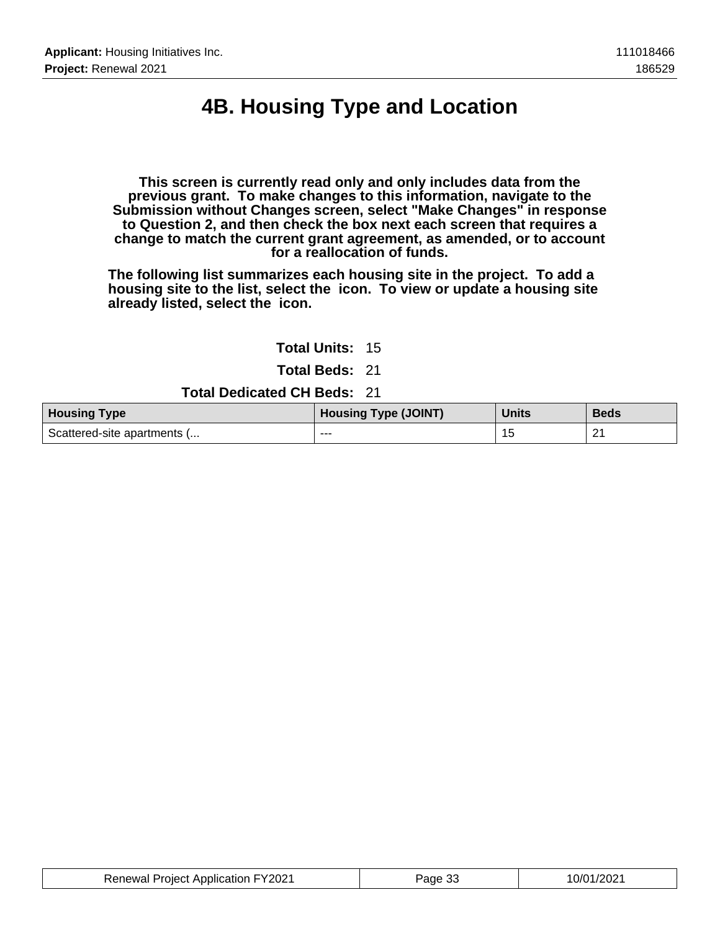## **4B. Housing Type and Location**

**This screen is currently read only and only includes data from the previous grant. To make changes to this information, navigate to the Submission without Changes screen, select "Make Changes" in response to Question 2, and then check the box next each screen that requires a change to match the current grant agreement, as amended, or to account for a reallocation of funds.**

**The following list summarizes each housing site in the project. To add a housing site to the list, select the icon. To view or update a housing site already listed, select the icon.**

#### **Total Units:** 15

**Total Beds:** 21

**Total Dedicated CH Beds:** 21

| <b>Housing Type</b>         | <b>Housing Type (JOINT)</b> | <b>Units</b> | <b>Beds</b> |
|-----------------------------|-----------------------------|--------------|-------------|
| Scattered-site apartments ( | ---                         |              | n,          |

| <b>Renewal Project Application FY2021</b> | Page 33 | 10/01/2021 |
|-------------------------------------------|---------|------------|
|-------------------------------------------|---------|------------|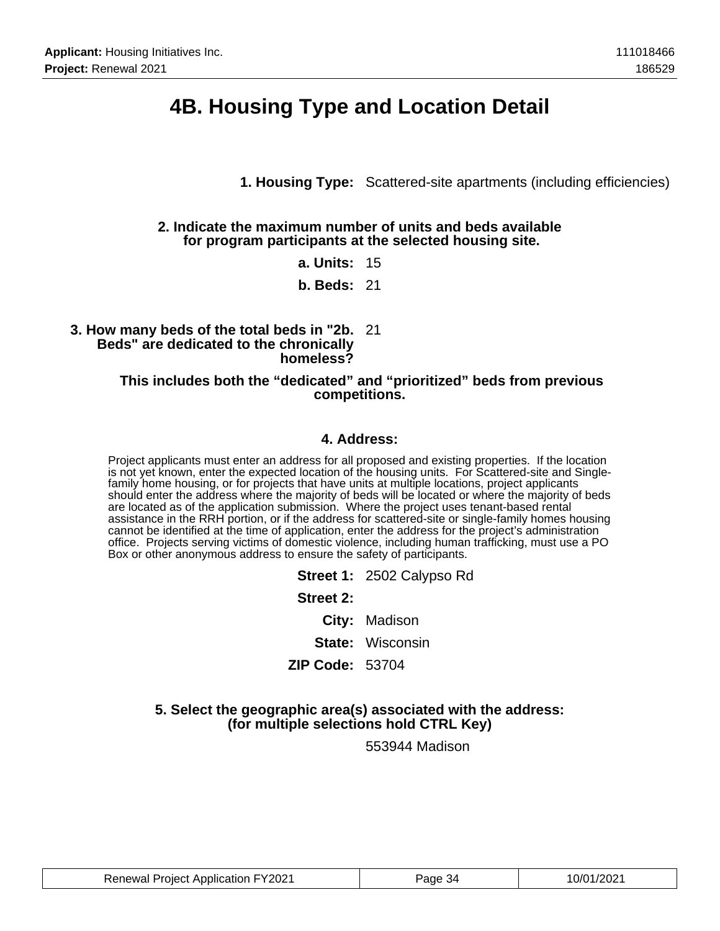## **4B. Housing Type and Location Detail**

**1. Housing Type:** Scattered-site apartments (including efficiencies)

#### **2. Indicate the maximum number of units and beds available for program participants at the selected housing site.**

**a. Units:** 15

**b. Beds:** 21

#### **3. How many beds of the total beds in "2b.** 21 **Beds" are dedicated to the chronically homeless?**

#### **This includes both the "dedicated" and "prioritized" beds from previous competitions.**

### **4. Address:**

Project applicants must enter an address for all proposed and existing properties. If the location is not yet known, enter the expected location of the housing units. For Scattered-site and Singlefamily home housing, or for projects that have units at multiple locations, project applicants should enter the address where the majority of beds will be located or where the majority of beds are located as of the application submission. Where the project uses tenant-based rental assistance in the RRH portion, or if the address for scattered-site or single-family homes housing cannot be identified at the time of application, enter the address for the project's administration office. Projects serving victims of domestic violence, including human trafficking, must use a PO Box or other anonymous address to ensure the safety of participants.

|                        | Street 1: 2502 Calypso Rd |
|------------------------|---------------------------|
| <b>Street 2:</b>       |                           |
|                        | <b>City: Madison</b>      |
|                        | <b>State: Wisconsin</b>   |
| <b>ZIP Code: 53704</b> |                           |
|                        |                           |

#### **5. Select the geographic area(s) associated with the address: (for multiple selections hold CTRL Key)**

553944 Madison

| <b>Renewal Project Application FY2021</b> | Page 34 | 10/01/2021 |
|-------------------------------------------|---------|------------|
|-------------------------------------------|---------|------------|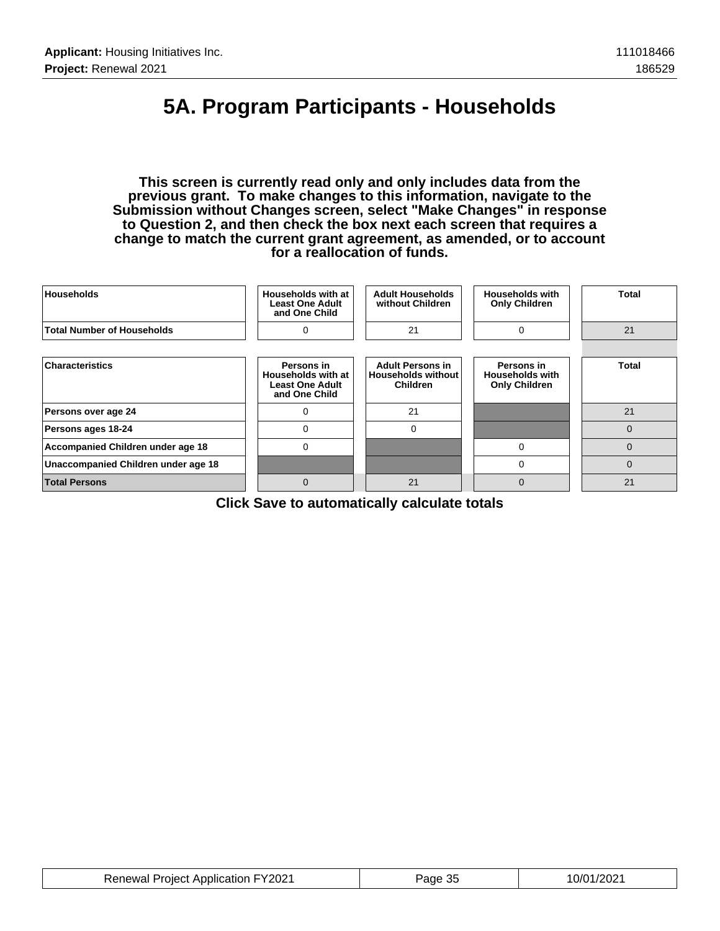## **5A. Program Participants - Households**

**This screen is currently read only and only includes data from the previous grant. To make changes to this information, navigate to the Submission without Changes screen, select "Make Changes" in response to Question 2, and then check the box next each screen that requires a change to match the current grant agreement, as amended, or to account for a reallocation of funds.**

| <b>Households</b>                   | Households with at<br><b>Least One Adult</b><br>and One Child               | <b>Adult Households</b><br>without Children                             | <b>Households with</b><br><b>Only Children</b>               | Total        |
|-------------------------------------|-----------------------------------------------------------------------------|-------------------------------------------------------------------------|--------------------------------------------------------------|--------------|
| <b>Total Number of Households</b>   | 0                                                                           | 21                                                                      | 0                                                            | 21           |
|                                     |                                                                             |                                                                         |                                                              |              |
| <b>Characteristics</b>              | Persons in<br>Households with at<br><b>Least One Adult</b><br>and One Child | <b>Adult Persons in</b><br><b>Households without</b><br><b>Children</b> | Persons in<br><b>Households with</b><br><b>Only Children</b> | <b>Total</b> |
| Persons over age 24                 | 0                                                                           | 21                                                                      |                                                              | 21           |
| Persons ages 18-24                  | $\mathbf 0$                                                                 | $\Omega$                                                                |                                                              | $\Omega$     |
| Accompanied Children under age 18   | $\Omega$                                                                    |                                                                         | 0                                                            | $\Omega$     |
| Unaccompanied Children under age 18 |                                                                             |                                                                         | $\Omega$                                                     | 0            |
| <b>Total Persons</b>                | $\Omega$                                                                    | 21                                                                      | $\mathbf 0$                                                  | 21           |

**Click Save to automatically calculate totals**

| <b>Renewal Project Application FY2021</b> | Page 35 | 10/01/2021 |
|-------------------------------------------|---------|------------|
|-------------------------------------------|---------|------------|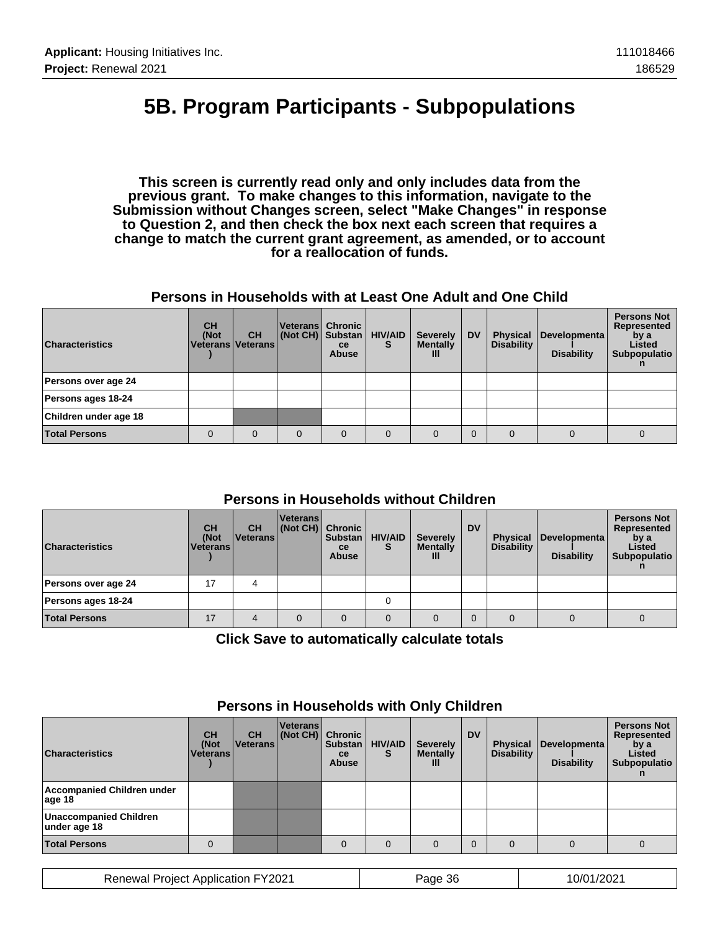## **5B. Program Participants - Subpopulations**

**This screen is currently read only and only includes data from the previous grant. To make changes to this information, navigate to the Submission without Changes screen, select "Make Changes" in response to Question 2, and then check the box next each screen that requires a change to match the current grant agreement, as amended, or to account for a reallocation of funds.**

#### **Persons in Households with at Least One Adult and One Child**

| <b>Characteristics</b> | <b>CH</b><br>(Not<br>Veterans   Veterans | <b>CH</b> | (Not CH) Substan | Veterans Chronic<br><b>ce</b><br><b>Abuse</b> | <b>HIV/AID</b><br>s | <b>Severely</b><br><b>Mentally</b><br>$\mathbf{m}$ | <b>DV</b> | <b>Physical</b><br><b>Disability</b> | Developmenta<br><b>Disability</b> | <b>Persons Not</b><br>Represented<br>by a<br>Listed<br>Subpopulatio |
|------------------------|------------------------------------------|-----------|------------------|-----------------------------------------------|---------------------|----------------------------------------------------|-----------|--------------------------------------|-----------------------------------|---------------------------------------------------------------------|
| Persons over age 24    |                                          |           |                  |                                               |                     |                                                    |           |                                      |                                   |                                                                     |
| Persons ages 18-24     |                                          |           |                  |                                               |                     |                                                    |           |                                      |                                   |                                                                     |
| Children under age 18  |                                          |           |                  |                                               |                     |                                                    |           |                                      |                                   |                                                                     |
| <b>Total Persons</b>   | 0                                        |           | 0                | $\Omega$                                      | $\Omega$            |                                                    |           |                                      |                                   |                                                                     |

### **Persons in Households without Children**

| <b>Characteristics</b> | <b>CH</b><br>(Not<br>l Veterans l | <b>CH</b><br><i><u><b>I</b>Veteransless</u></i> | <b>Veterans</b><br>$\vert$ (Not CH) $\vert$ Chronic | <b>Substan</b><br><b>ce</b><br><b>Abuse</b> | <b>HIV/AID</b> | <b>Severely</b><br><b>Mentally</b><br>ш | <b>DV</b> | <b>Physical</b><br><b>Disability</b> | Developmenta<br><b>Disability</b> | <b>Persons Not</b><br>Represented<br>by a<br>Listed<br>Subpopulatio |
|------------------------|-----------------------------------|-------------------------------------------------|-----------------------------------------------------|---------------------------------------------|----------------|-----------------------------------------|-----------|--------------------------------------|-----------------------------------|---------------------------------------------------------------------|
| Persons over age 24    | 17                                |                                                 |                                                     |                                             |                |                                         |           |                                      |                                   |                                                                     |
| Persons ages 18-24     |                                   |                                                 |                                                     |                                             |                |                                         |           |                                      |                                   |                                                                     |
| <b>Total Persons</b>   | 17                                |                                                 |                                                     |                                             |                |                                         |           |                                      |                                   |                                                                     |

**Click Save to automatically calculate totals**

| <b>Characteristics</b>                        | <b>CH</b><br>(Not<br><b>Veterans</b> | <b>CH</b><br><b>Veterans</b> | Veterans<br>(Not CH) Chronic | <b>Substan</b><br>ce<br><b>Abuse</b> | <b>HIV/AID</b><br>S | <b>Severely</b><br><b>Mentally</b><br>Ш | <b>DV</b> | <b>Physical</b><br><b>Disability</b> | Developmenta<br><b>Disability</b> | <b>Persons Not</b><br>Represented<br>by a<br>Listed<br>Subpopulatio |
|-----------------------------------------------|--------------------------------------|------------------------------|------------------------------|--------------------------------------|---------------------|-----------------------------------------|-----------|--------------------------------------|-----------------------------------|---------------------------------------------------------------------|
| Accompanied Children under<br>age 18          |                                      |                              |                              |                                      |                     |                                         |           |                                      |                                   |                                                                     |
| <b>Unaccompanied Children</b><br>under age 18 |                                      |                              |                              |                                      |                     |                                         |           |                                      |                                   |                                                                     |
| <b>Total Persons</b>                          |                                      |                              |                              | $\Omega$                             | $\Omega$            |                                         |           | $\Omega$                             |                                   |                                                                     |

### **Persons in Households with Only Children**

Renewal Project Application FY2021 Page 36 10/01/2021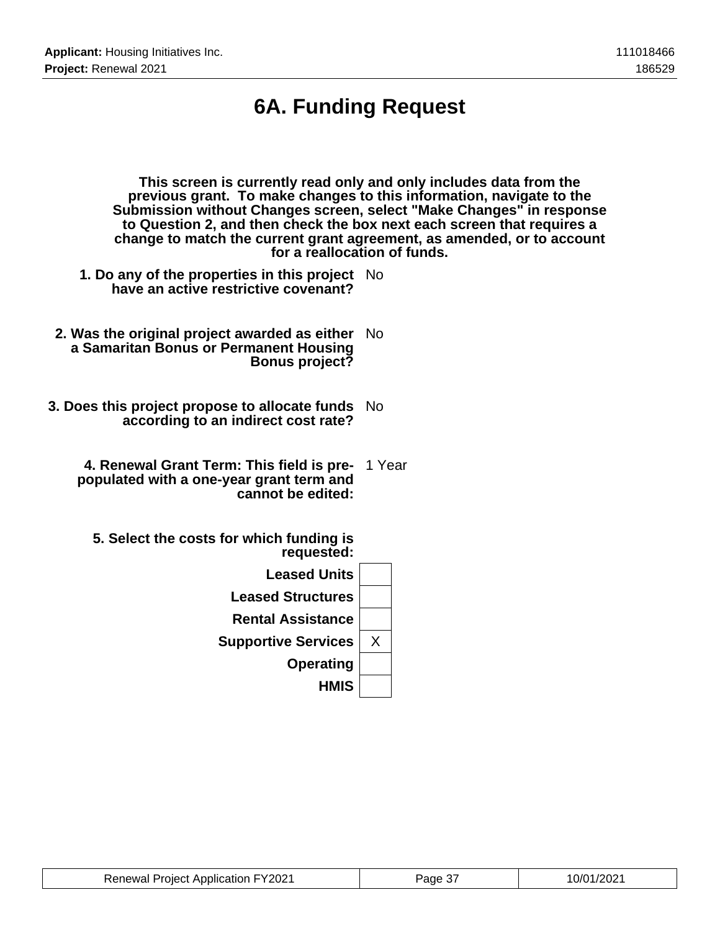# **6A. Funding Request**

| This screen is currently read only and only includes data from the<br>previous grant. To make changes to this information, navigate to the<br>Submission without Changes screen, select "Make Changes" in response<br>to Question 2, and then check the box next each screen that requires a<br>change to match the current grant agreement, as amended, or to account<br>for a reallocation of funds. |   |  |  |  |  |  |
|--------------------------------------------------------------------------------------------------------------------------------------------------------------------------------------------------------------------------------------------------------------------------------------------------------------------------------------------------------------------------------------------------------|---|--|--|--|--|--|
| 1. Do any of the properties in this project No<br>have an active restrictive covenant?                                                                                                                                                                                                                                                                                                                 |   |  |  |  |  |  |
| 2. Was the original project awarded as either No<br>a Samaritan Bonus or Permanent Housing<br>Bonus project?                                                                                                                                                                                                                                                                                           |   |  |  |  |  |  |
| 3. Does this project propose to allocate funds No<br>according to an indirect cost rate?                                                                                                                                                                                                                                                                                                               |   |  |  |  |  |  |
| 4. Renewal Grant Term: This field is pre- 1 Year<br>populated with a one-year grant term and<br>cannot be edited:                                                                                                                                                                                                                                                                                      |   |  |  |  |  |  |
| 5. Select the costs for which funding is<br>requested:                                                                                                                                                                                                                                                                                                                                                 |   |  |  |  |  |  |
| <b>Leased Units</b>                                                                                                                                                                                                                                                                                                                                                                                    |   |  |  |  |  |  |
| <b>Leased Structures</b>                                                                                                                                                                                                                                                                                                                                                                               |   |  |  |  |  |  |
| <b>Rental Assistance</b>                                                                                                                                                                                                                                                                                                                                                                               |   |  |  |  |  |  |
| <b>Supportive Services</b>                                                                                                                                                                                                                                                                                                                                                                             | X |  |  |  |  |  |
| Operating                                                                                                                                                                                                                                                                                                                                                                                              |   |  |  |  |  |  |

**HMIS**

| Renewal Project Application FY2021 | Page 37 | 10/01/2021 |
|------------------------------------|---------|------------|
|------------------------------------|---------|------------|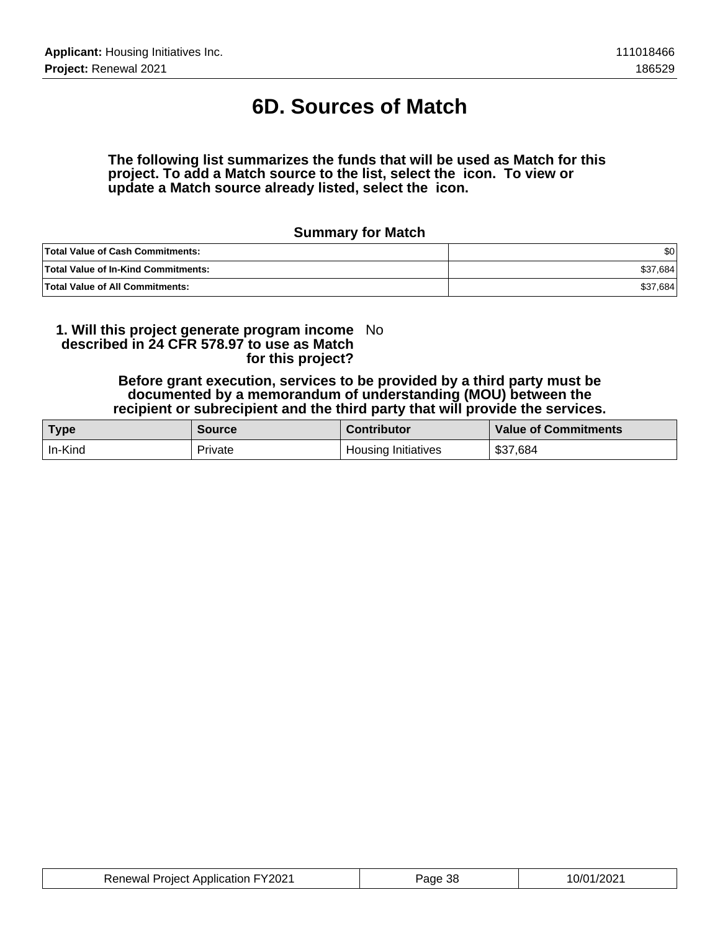## **6D. Sources of Match**

#### **The following list summarizes the funds that will be used as Match for this project. To add a Match source to the list, select the icon. To view or update a Match source already listed, select the icon.**

#### **Summary for Match**

| <b>Total Value of Cash Commitments:</b>    | ا 30     |
|--------------------------------------------|----------|
| <b>Total Value of In-Kind Commitments:</b> | \$37,684 |
| <b>Total Value of All Commitments:</b>     | \$37,684 |

#### **1. Will this project generate program income** No **described in 24 CFR 578.97 to use as Match for this project?**

#### **Before grant execution, services to be provided by a third party must be documented by a memorandum of understanding (MOU) between the recipient or subrecipient and the third party that will provide the services.**

| <b>Type</b> | Source  | <b>Contributor</b>         | <b>Value of Commitments</b> |
|-------------|---------|----------------------------|-----------------------------|
| In-Kind     | Private | <b>Housing Initiatives</b> | \$37,684                    |

| <b>Renewal Project Application FY2021</b> | Page 38 | 10/01/2021 |
|-------------------------------------------|---------|------------|
|-------------------------------------------|---------|------------|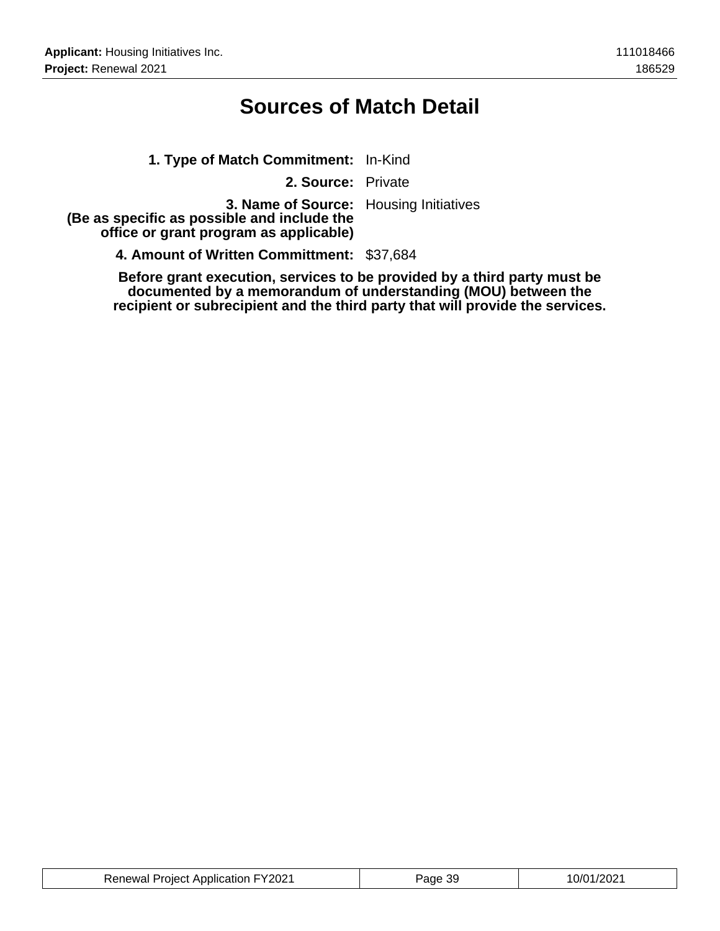### **Sources of Match Detail**

**1. Type of Match Commitment:** In-Kind **2. Source:** Private **3. Name of Source:** Housing Initiatives  **(Be as specific as possible and include the office or grant program as applicable) 4. Amount of Written Committment:** \$37,684

**Before grant execution, services to be provided by a third party must be documented by a memorandum of understanding (MOU) between the recipient or subrecipient and the third party that will provide the services.**

| <b>Renewal Project Application FY2021</b> | aae 39' | 10/01/2021 |
|-------------------------------------------|---------|------------|
|-------------------------------------------|---------|------------|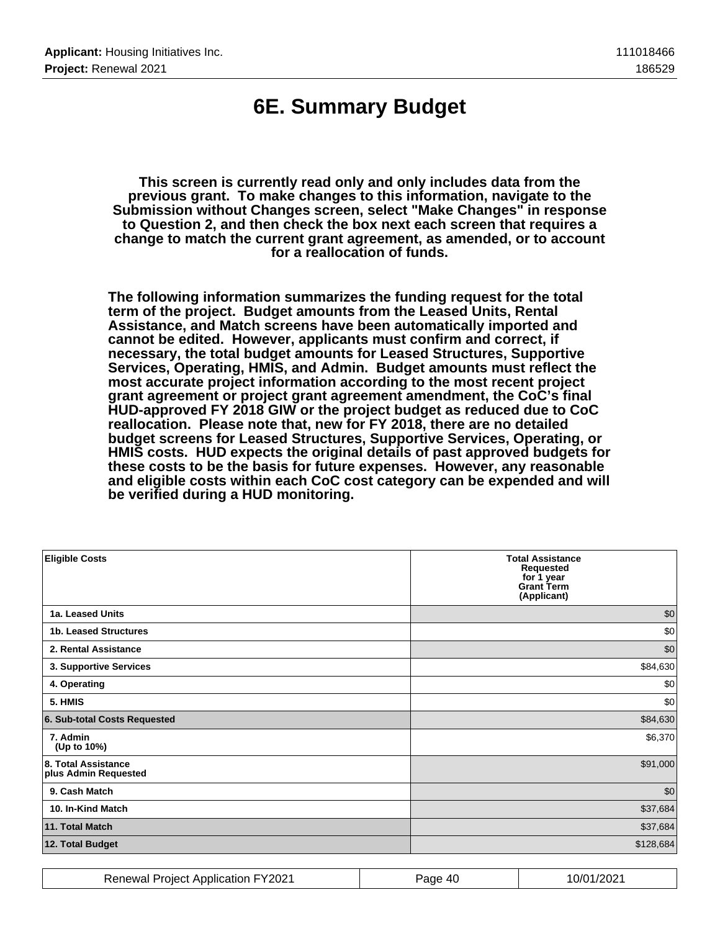## **6E. Summary Budget**

**This screen is currently read only and only includes data from the previous grant. To make changes to this information, navigate to the Submission without Changes screen, select "Make Changes" in response to Question 2, and then check the box next each screen that requires a change to match the current grant agreement, as amended, or to account for a reallocation of funds.**

**The following information summarizes the funding request for the total term of the project. Budget amounts from the Leased Units, Rental Assistance, and Match screens have been automatically imported and cannot be edited. However, applicants must confirm and correct, if necessary, the total budget amounts for Leased Structures, Supportive Services, Operating, HMIS, and Admin. Budget amounts must reflect the most accurate project information according to the most recent project grant agreement or project grant agreement amendment, the CoC's final HUD-approved FY 2018 GIW or the project budget as reduced due to CoC reallocation. Please note that, new for FY 2018, there are no detailed budget screens for Leased Structures, Supportive Services, Operating, or HMIS costs. HUD expects the original details of past approved budgets for these costs to be the basis for future expenses. However, any reasonable and eligible costs within each CoC cost category can be expended and will be verified during a HUD monitoring.**

| <b>Eligible Costs</b>                       | <b>Total Assistance</b><br><b>Requested</b><br>for 1 year<br><b>Grant Term</b><br>(Applicant) |
|---------------------------------------------|-----------------------------------------------------------------------------------------------|
| 1a. Leased Units                            | \$0                                                                                           |
| <b>1b. Leased Structures</b>                | \$0                                                                                           |
| 2. Rental Assistance                        | \$0                                                                                           |
| 3. Supportive Services                      | \$84,630                                                                                      |
| 4. Operating                                | \$0                                                                                           |
| 5. HMIS                                     | \$0                                                                                           |
| 6. Sub-total Costs Requested                | \$84,630                                                                                      |
| 7. Admin<br>(Up to 10%)                     | \$6,370                                                                                       |
| 8. Total Assistance<br>plus Admin Requested | \$91,000                                                                                      |
| 9. Cash Match                               | \$0                                                                                           |
| 10. In-Kind Match                           | \$37,684                                                                                      |
| 11. Total Match                             | \$37,684                                                                                      |
| 12. Total Budget                            | \$128,684                                                                                     |

| <b>Renewal Project Application FY2021</b> | Page 40 | 10/01/2021 |
|-------------------------------------------|---------|------------|
|-------------------------------------------|---------|------------|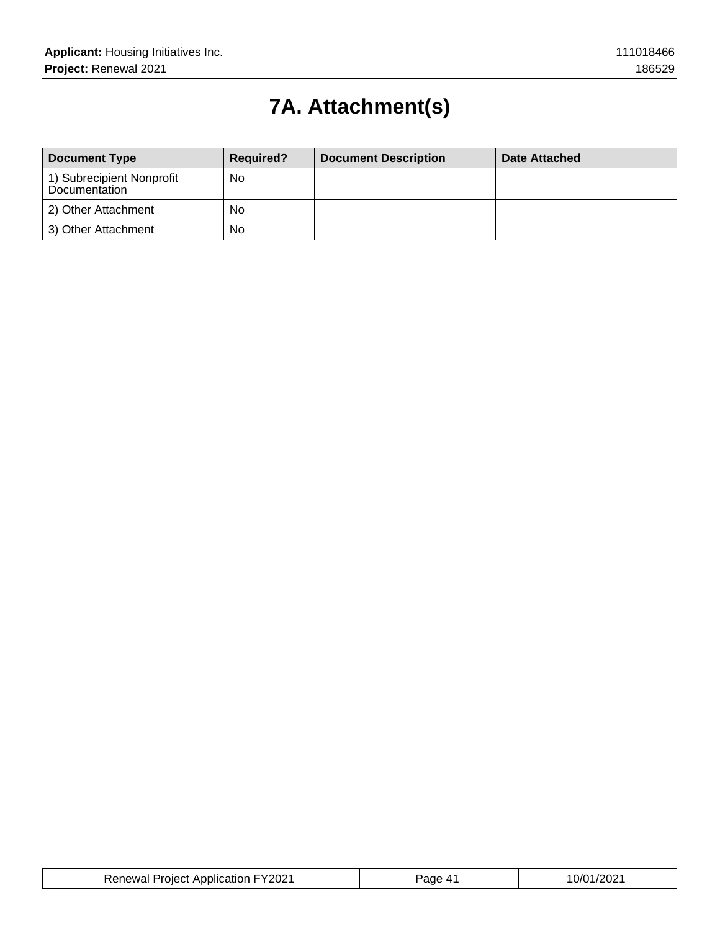# **7A. Attachment(s)**

| <b>Document Type</b>                       | <b>Required?</b> | <b>Document Description</b> | Date Attached |
|--------------------------------------------|------------------|-----------------------------|---------------|
| 1) Subrecipient Nonprofit<br>Documentation | No               |                             |               |
| 2) Other Attachment                        | No               |                             |               |
| 3) Other Attachment                        | No               |                             |               |

| cation FY2021<br>Renewal<br>Project Application | ⊇age⊹ | 2UZ |
|-------------------------------------------------|-------|-----|
|-------------------------------------------------|-------|-----|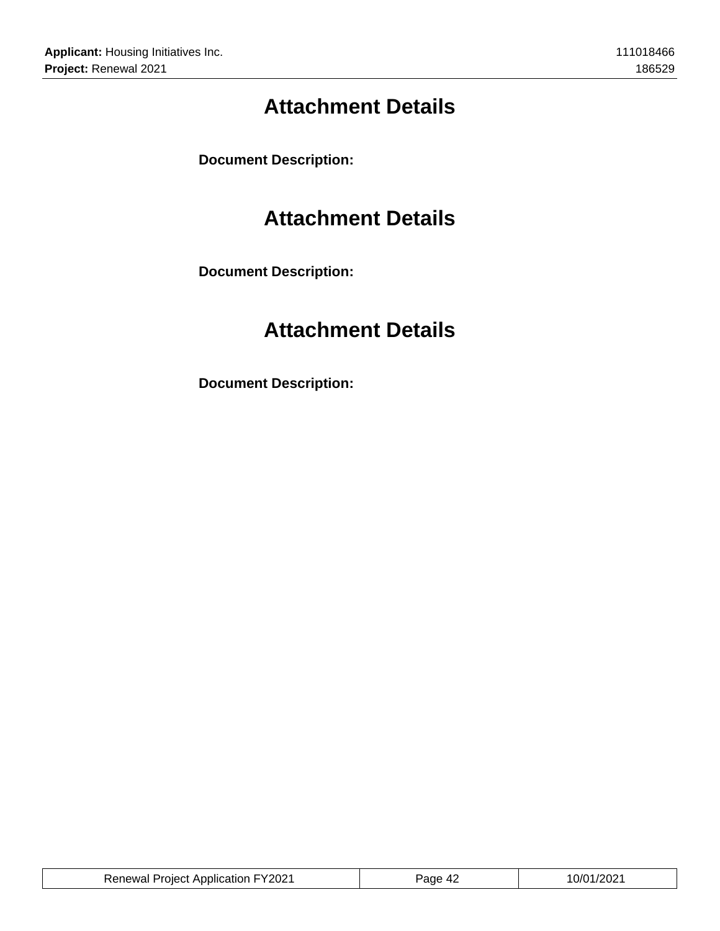## **Attachment Details**

**Document Description:**

### **Attachment Details**

**Document Description:**

## **Attachment Details**

**Document Description:**

| <b>Renewal Project Application FY2021</b> | Page 42 | 10/01/2021 |
|-------------------------------------------|---------|------------|
|                                           |         |            |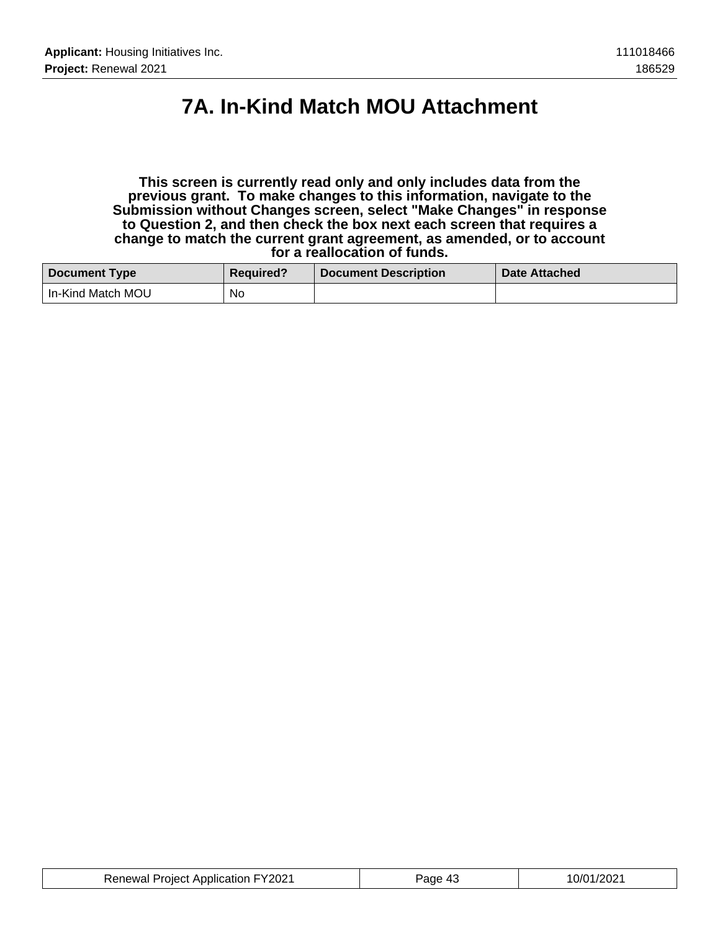## **7A. In-Kind Match MOU Attachment**

**This screen is currently read only and only includes data from the previous grant. To make changes to this information, navigate to the Submission without Changes screen, select "Make Changes" in response to Question 2, and then check the box next each screen that requires a change to match the current grant agreement, as amended, or to account for a reallocation of funds.**

| <b>Document Type</b> | <b>Required?</b> | <b>Document Description</b> | Date Attached |
|----------------------|------------------|-----------------------------|---------------|
| l In-Kind Match MOU  | No.              |                             |               |

| <b>Renewal Project Application FY2021</b> | Page 43 | 10/01/2021 |
|-------------------------------------------|---------|------------|
|-------------------------------------------|---------|------------|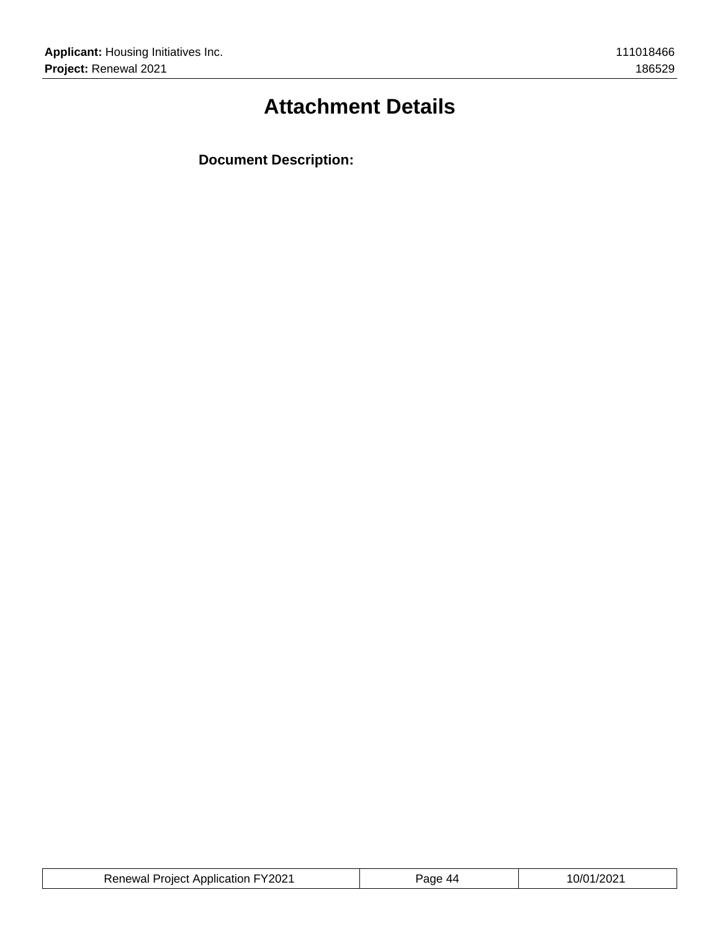## **Attachment Details**

**Document Description:**

| <b>Renewal Project Application FY2021</b> | 44 | 10/01/2021 |
|-------------------------------------------|----|------------|
|-------------------------------------------|----|------------|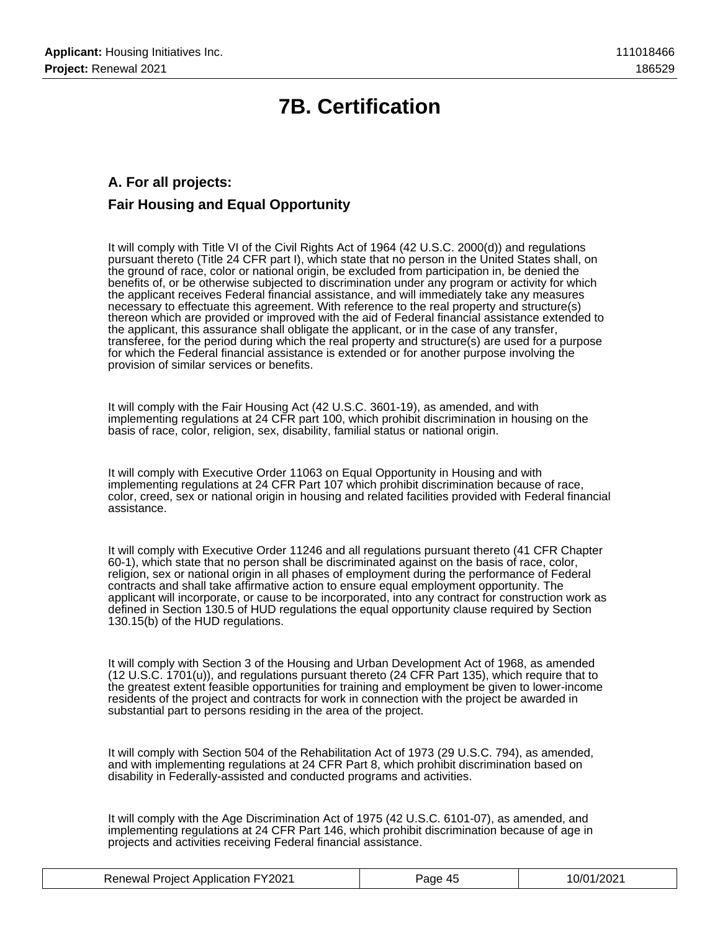## **7B. Certification**

### **A. For all projects: Fair Housing and Equal Opportunity**

It will comply with Title VI of the Civil Rights Act of 1964 (42 U.S.C. 2000(d)) and regulations pursuant thereto (Title 24 CFR part I), which state that no person in the United States shall, on the ground of race, color or national origin, be excluded from participation in, be denied the benefits of, or be otherwise subjected to discrimination under any program or activity for which the applicant receives Federal financial assistance, and will immediately take any measures necessary to effectuate this agreement. With reference to the real property and structure(s) thereon which are provided or improved with the aid of Federal financial assistance extended to the applicant, this assurance shall obligate the applicant, or in the case of any transfer, transferee, for the period during which the real property and structure(s) are used for a purpose for which the Federal financial assistance is extended or for another purpose involving the provision of similar services or benefits.

It will comply with the Fair Housing Act (42 U.S.C. 3601-19), as amended, and with implementing regulations at 24 CFR part 100, which prohibit discrimination in housing on the basis of race, color, religion, sex, disability, familial status or national origin.

It will comply with Executive Order 11063 on Equal Opportunity in Housing and with implementing regulations at 24 CFR Part 107 which prohibit discrimination because of race, color, creed, sex or national origin in housing and related facilities provided with Federal financial assistance.

It will comply with Executive Order 11246 and all regulations pursuant thereto (41 CFR Chapter 60-1), which state that no person shall be discriminated against on the basis of race, color, religion, sex or national origin in all phases of employment during the performance of Federal contracts and shall take affirmative action to ensure equal employment opportunity. The applicant will incorporate, or cause to be incorporated, into any contract for construction work as defined in Section 130.5 of HUD regulations the equal opportunity clause required by Section 130.15(b) of the HUD regulations.

It will comply with Section 3 of the Housing and Urban Development Act of 1968, as amended (12 U.S.C. 1701(u)), and regulations pursuant thereto (24 CFR Part 135), which require that to the greatest extent feasible opportunities for training and employment be given to lower-income residents of the project and contracts for work in connection with the project be awarded in substantial part to persons residing in the area of the project.

It will comply with Section 504 of the Rehabilitation Act of 1973 (29 U.S.C. 794), as amended, and with implementing regulations at 24 CFR Part 8, which prohibit discrimination based on disability in Federally-assisted and conducted programs and activities.

It will comply with the Age Discrimination Act of 1975 (42 U.S.C. 6101-07), as amended, and implementing regulations at 24 CFR Part 146, which prohibit discrimination because of age in projects and activities receiving Federal financial assistance.

| <b>Renewal Project Application FY2021</b> | Page 45 | 10/01/2021 |
|-------------------------------------------|---------|------------|
|-------------------------------------------|---------|------------|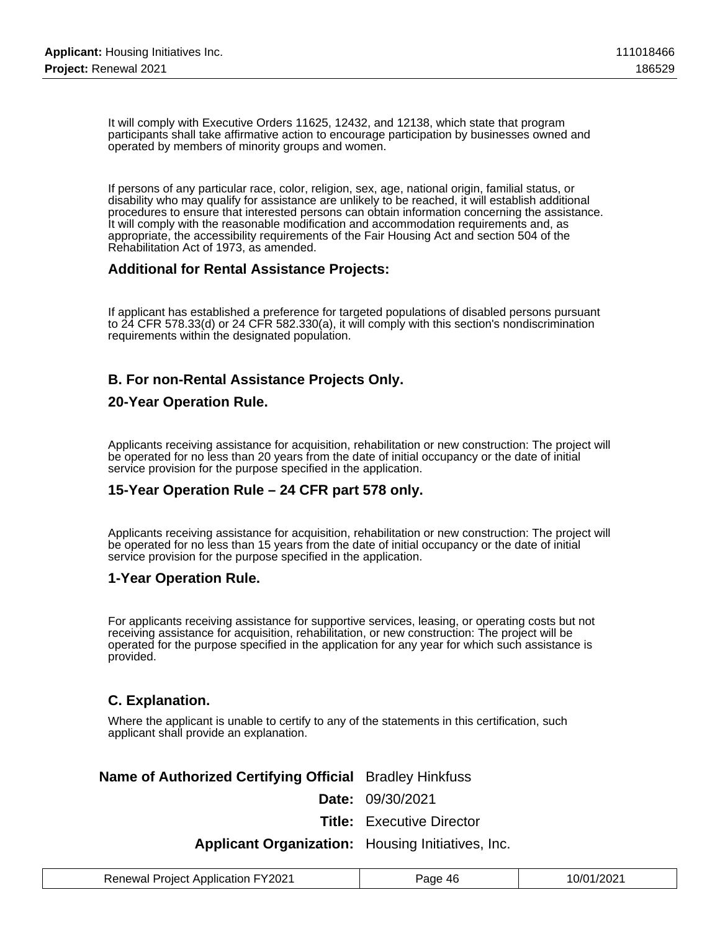It will comply with Executive Orders 11625, 12432, and 12138, which state that program participants shall take affirmative action to encourage participation by businesses owned and operated by members of minority groups and women.

If persons of any particular race, color, religion, sex, age, national origin, familial status, or disability who may qualify for assistance are unlikely to be reached, it will establish additional procedures to ensure that interested persons can obtain information concerning the assistance. It will comply with the reasonable modification and accommodation requirements and, as appropriate, the accessibility requirements of the Fair Housing Act and section 504 of the Rehabilitation Act of 1973, as amended.

#### **Additional for Rental Assistance Projects:**

If applicant has established a preference for targeted populations of disabled persons pursuant to 24 CFR 578.33(d) or 24 CFR 582.330(a), it will comply with this section's nondiscrimination requirements within the designated population.

### **B. For non-Rental Assistance Projects Only.**

#### **20-Year Operation Rule.**

Applicants receiving assistance for acquisition, rehabilitation or new construction: The project will be operated for no less than 20 years from the date of initial occupancy or the date of initial service provision for the purpose specified in the application.

#### **15-Year Operation Rule – 24 CFR part 578 only.**

Applicants receiving assistance for acquisition, rehabilitation or new construction: The project will be operated for no less than 15 years from the date of initial occupancy or the date of initial service provision for the purpose specified in the application.

#### **1-Year Operation Rule.**

For applicants receiving assistance for supportive services, leasing, or operating costs but not receiving assistance for acquisition, rehabilitation, or new construction: The project will be operated for the purpose specified in the application for any year for which such assistance is provided.

#### **C. Explanation.**

Where the applicant is unable to certify to any of the statements in this certification, such applicant shall provide an explanation.

| <b>Name of Authorized Certifying Official Bradley Hinkfuss</b> |                                  |
|----------------------------------------------------------------|----------------------------------|
|                                                                | <b>Date: 09/30/2021</b>          |
|                                                                | <b>Title:</b> Executive Director |
| <b>Applicant Organization:</b> Housing Initiatives, Inc.       |                                  |

| <b>Renewal Project Application FY2021</b> | Page 46 | 10/01/2021 |
|-------------------------------------------|---------|------------|
|-------------------------------------------|---------|------------|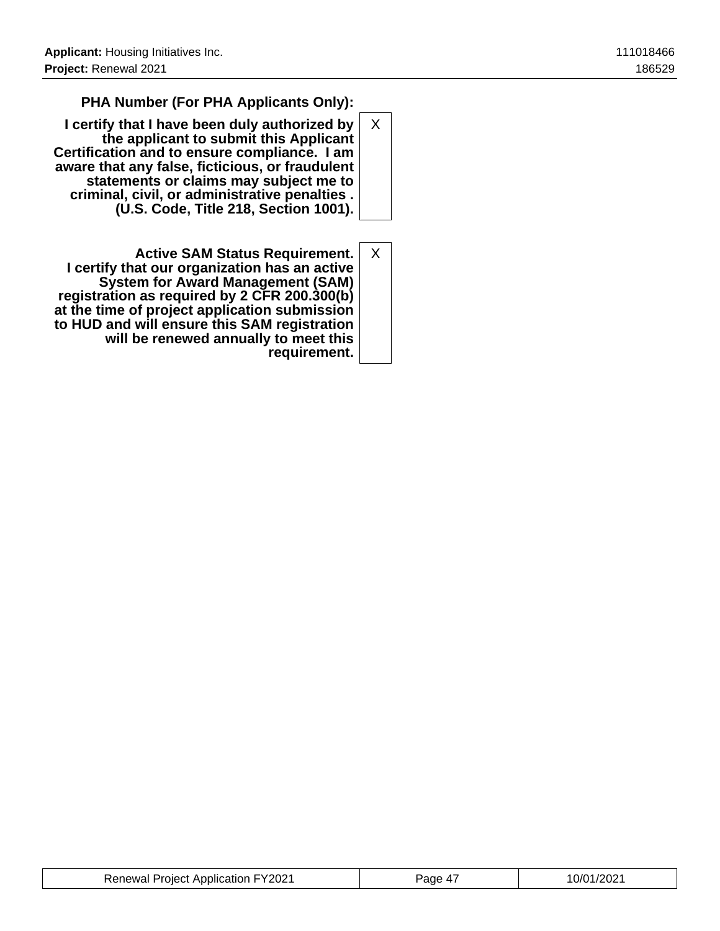### **PHA Number (For PHA Applicants Only):**

- **I certify that I have been duly authorized by the applicant to submit this Applicant Certification and to ensure compliance. I am aware that any false, ficticious, or fraudulent statements or claims may subject me to criminal, civil, or administrative penalties . (U.S. Code, Title 218, Section 1001).** X
- **Active SAM Status Requirement. I certify that our organization has an active System for Award Management (SAM) registration as required by 2 CFR 200.300(b) at the time of project application submission to HUD and will ensure this SAM registration will be renewed annually to meet this requirement.** X

| <b>Renewal Project Application FY2021</b> | 'age 4. | 10/01/2021 |
|-------------------------------------------|---------|------------|
|-------------------------------------------|---------|------------|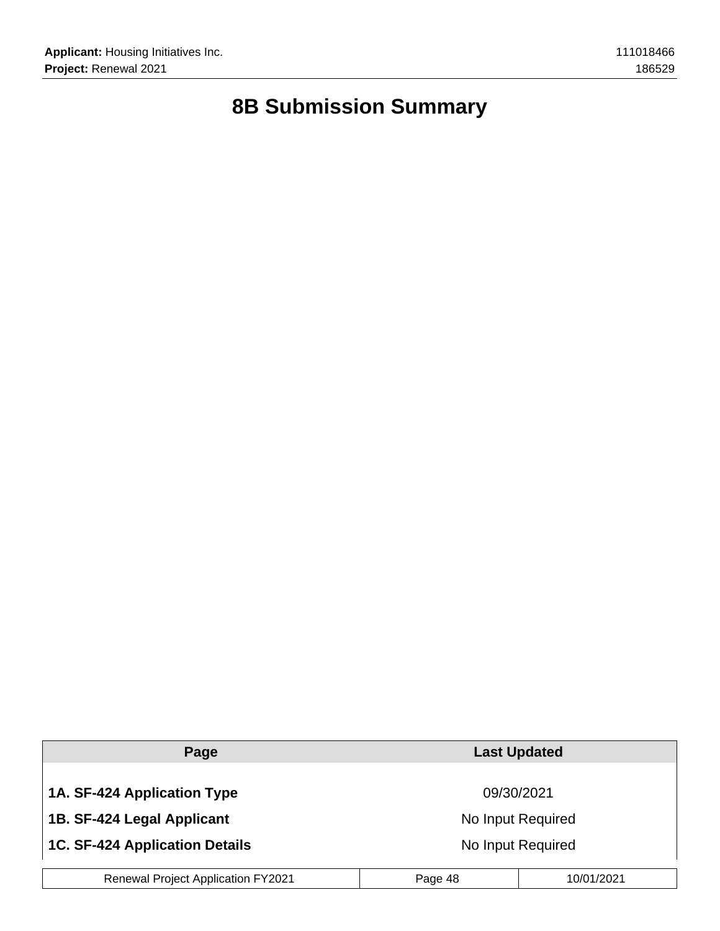# **8B Submission Summary**

| Page                                      | <b>Last Updated</b> |            |
|-------------------------------------------|---------------------|------------|
|                                           |                     |            |
| 1A. SF-424 Application Type               | 09/30/2021          |            |
| 1B. SF-424 Legal Applicant                | No Input Required   |            |
| <b>1C. SF-424 Application Details</b>     | No Input Required   |            |
| <b>Renewal Project Application FY2021</b> | Page 48             | 10/01/2021 |